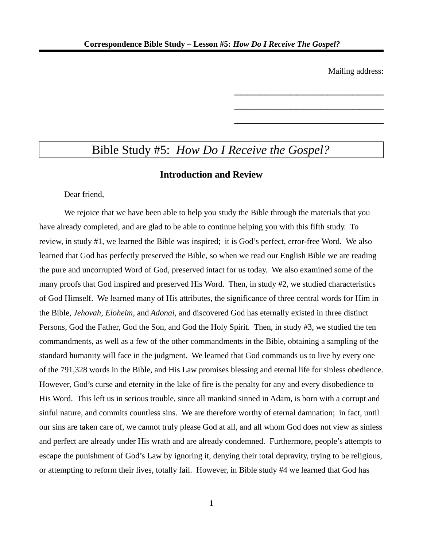Mailing address:

\_\_\_\_\_\_\_\_\_\_\_\_\_\_\_\_\_\_\_\_\_\_\_\_

\_\_\_\_\_\_\_\_\_\_\_\_\_\_\_\_\_\_\_\_\_\_\_\_

\_\_\_\_\_\_\_\_\_\_\_\_\_\_\_\_\_\_\_\_\_\_\_\_

# Bible Study #5: *How Do I Receive the Gospel?*

### **Introduction and Review**

Dear friend,

We rejoice that we have been able to help you study the Bible through the materials that you have already completed, and are glad to be able to continue helping you with this fifth study. To review, in study #1, we learned the Bible was inspired; it is God's perfect, error-free Word. We also learned that God has perfectly preserved the Bible, so when we read our English Bible we are reading the pure and uncorrupted Word of God, preserved intact for us today. We also examined some of the many proofs that God inspired and preserved His Word. Then, in study #2, we studied characteristics of God Himself. We learned many of His attributes, the significance of three central words for Him in the Bible, *Jehovah, Eloheim,* and *Adonai*, and discovered God has eternally existed in three distinct Persons, God the Father, God the Son, and God the Holy Spirit. Then, in study #3, we studied the ten commandments, as well as a few of the other commandments in the Bible, obtaining a sampling of the standard humanity will face in the judgment. We learned that God commands us to live by every one of the 791,328 words in the Bible, and His Law promises blessing and eternal life for sinless obedience. However, God's curse and eternity in the lake of fire is the penalty for any and every disobedience to His Word. This left us in serious trouble, since all mankind sinned in Adam, is born with a corrupt and sinful nature, and commits countless sins. We are therefore worthy of eternal damnation; in fact, until our sins are taken care of, we cannot truly please God at all, and all whom God does not view as sinless and perfect are already under His wrath and are already condemned. Furthermore, people's attempts to escape the punishment of God's Law by ignoring it, denying their total depravity, trying to be religious, or attempting to reform their lives, totally fail. However, in Bible study #4 we learned that God has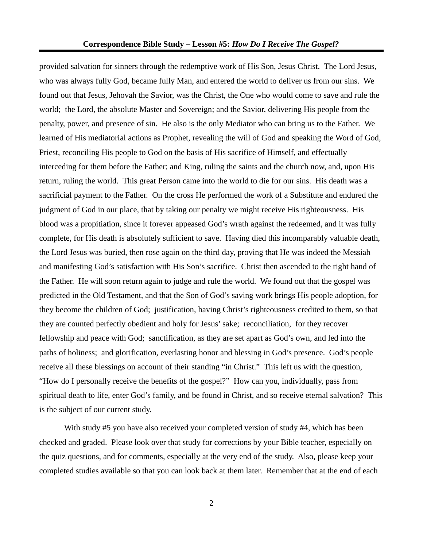provided salvation for sinners through the redemptive work of His Son, Jesus Christ. The Lord Jesus, who was always fully God, became fully Man, and entered the world to deliver us from our sins. We found out that Jesus, Jehovah the Savior, was the Christ, the One who would come to save and rule the world; the Lord, the absolute Master and Sovereign; and the Savior, delivering His people from the penalty, power, and presence of sin. He also is the only Mediator who can bring us to the Father. We learned of His mediatorial actions as Prophet, revealing the will of God and speaking the Word of God, Priest, reconciling His people to God on the basis of His sacrifice of Himself, and effectually interceding for them before the Father; and King, ruling the saints and the church now, and, upon His return, ruling the world. This great Person came into the world to die for our sins. His death was a sacrificial payment to the Father. On the cross He performed the work of a Substitute and endured the judgment of God in our place, that by taking our penalty we might receive His righteousness. His blood was a propitiation, since it forever appeased God's wrath against the redeemed, and it was fully complete, for His death is absolutely sufficient to save. Having died this incomparably valuable death, the Lord Jesus was buried, then rose again on the third day, proving that He was indeed the Messiah and manifesting God's satisfaction with His Son's sacrifice. Christ then ascended to the right hand of the Father. He will soon return again to judge and rule the world. We found out that the gospel was predicted in the Old Testament, and that the Son of God's saving work brings His people adoption, for they become the children of God; justification, having Christ's righteousness credited to them, so that they are counted perfectly obedient and holy for Jesus' sake; reconciliation, for they recover fellowship and peace with God; sanctification, as they are set apart as God's own, and led into the paths of holiness; and glorification, everlasting honor and blessing in God's presence. God's people receive all these blessings on account of their standing "in Christ." This left us with the question, "How do I personally receive the benefits of the gospel?" How can you, individually, pass from spiritual death to life, enter God's family, and be found in Christ, and so receive eternal salvation? This is the subject of our current study.

With study #5 you have also received your completed version of study #4, which has been checked and graded. Please look over that study for corrections by your Bible teacher, especially on the quiz questions, and for comments, especially at the very end of the study. Also, please keep your completed studies available so that you can look back at them later. Remember that at the end of each

2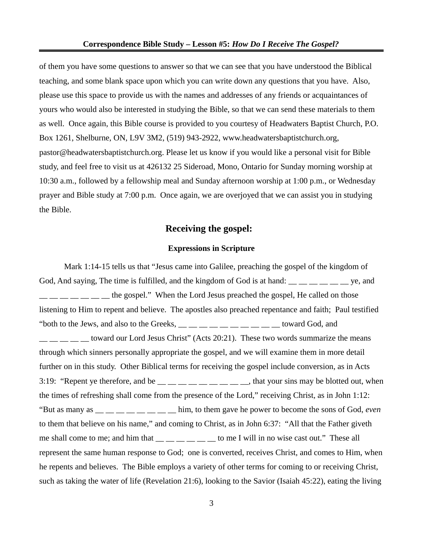of them you have some questions to answer so that we can see that you have understood the Biblical teaching, and some blank space upon which you can write down any questions that you have. Also, please use this space to provide us with the names and addresses of any friends or acquaintances of yours who would also be interested in studying the Bible, so that we can send these materials to them as well. Once again, this Bible course is provided to you courtesy of Headwaters Baptist Church, P.O. Box 1261, Shelburne, ON, L9V 3M2, (519) 943-2922, www.headwatersbaptistchurch.org, pastor@headwatersbaptistchurch.org. Please let us know if you would like a personal visit for Bible study, and feel free to visit us at 426132 25 Sideroad, Mono, Ontario for Sunday morning worship at 10:30 a.m., followed by a fellowship meal and Sunday afternoon worship at 1:00 p.m., or Wednesday prayer and Bible study at 7:00 p.m. Once again, we are overjoyed that we can assist you in studying the Bible.

# **Receiving the gospel:**

#### **Expressions in Scripture**

Mark 1:14-15 tells us that "Jesus came into Galilee, preaching the gospel of the kingdom of God, And saying, The time is fulfilled, and the kingdom of God is at hand:  $\frac{1}{\sqrt{2}}$   $\frac{1}{\sqrt{2}}$   $\frac{1}{\sqrt{2}}$  ye, and  $\frac{1}{1}$   $\frac{1}{1}$   $\frac{1}{1}$   $\frac{1}{1}$  the gospel." When the Lord Jesus preached the gospel, He called on those listening to Him to repent and believe. The apostles also preached repentance and faith; Paul testified "both to the Jews, and also to the Greeks,  $\_\_$   $\_\_$   $\_\_$   $\_\_$   $\_\_$   $\_\_$  toward God, and  $\frac{1}{1}$  \_ \_ \_ \_ toward our Lord Jesus Christ" (Acts 20:21). These two words summarize the means through which sinners personally appropriate the gospel, and we will examine them in more detail further on in this study. Other Biblical terms for receiving the gospel include conversion, as in Acts 3:19: "Repent ye therefore, and be  $\frac{m}{m}$   $\frac{m}{m}$   $\frac{m}{m}$   $\frac{m}{m}$   $\frac{m}{m}$ , that your sins may be blotted out, when the times of refreshing shall come from the presence of the Lord," receiving Christ, as in John 1:12: "But as many as \_\_ \_\_ \_\_ \_\_ \_\_ \_\_ \_\_ \_\_ him, to them gave he power to become the sons of God, *even* to them that believe on his name," and coming to Christ, as in John 6:37: "All that the Father giveth me shall come to me; and him that  $\frac{1}{\sqrt{2}}$  \_\_ \_\_ \_\_ \_\_ to me I will in no wise cast out." These all represent the same human response to God; one is converted, receives Christ, and comes to Him, when he repents and believes. The Bible employs a variety of other terms for coming to or receiving Christ, such as taking the water of life (Revelation 21:6), looking to the Savior (Isaiah 45:22), eating the living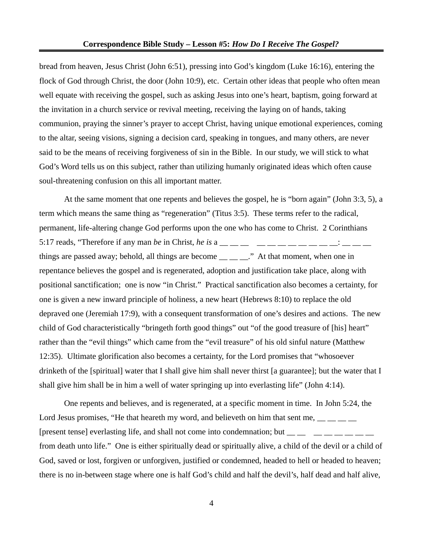bread from heaven, Jesus Christ (John 6:51), pressing into God's kingdom (Luke 16:16), entering the flock of God through Christ, the door (John 10:9), etc. Certain other ideas that people who often mean well equate with receiving the gospel, such as asking Jesus into one's heart, baptism, going forward at the invitation in a church service or revival meeting, receiving the laying on of hands, taking communion, praying the sinner's prayer to accept Christ, having unique emotional experiences, coming to the altar, seeing visions, signing a decision card, speaking in tongues, and many others, are never said to be the means of receiving forgiveness of sin in the Bible. In our study, we will stick to what God's Word tells us on this subject, rather than utilizing humanly originated ideas which often cause soul-threatening confusion on this all important matter.

At the same moment that one repents and believes the gospel, he is "born again" (John 3:3, 5), a term which means the same thing as "regeneration" (Titus 3:5). These terms refer to the radical, permanent, life-altering change God performs upon the one who has come to Christ. 2 Corinthians 5:17 reads, "Therefore if any man *be* in Christ, *he is* a \_\_ \_\_ \_\_ \_\_ \_\_ \_\_ \_\_ \_\_ \_\_ \_\_ \_\_: \_\_ \_\_ \_\_ things are passed away; behold, all things are become  $\_\_\_\_\_$ . At that moment, when one in repentance believes the gospel and is regenerated, adoption and justification take place, along with positional sanctification; one is now "in Christ." Practical sanctification also becomes a certainty, for one is given a new inward principle of holiness, a new heart (Hebrews 8:10) to replace the old depraved one (Jeremiah 17:9), with a consequent transformation of one's desires and actions. The new child of God characteristically "bringeth forth good things" out "of the good treasure of [his] heart" rather than the "evil things" which came from the "evil treasure" of his old sinful nature (Matthew 12:35). Ultimate glorification also becomes a certainty, for the Lord promises that "whosoever drinketh of the [spiritual] water that I shall give him shall never thirst [a guarantee]; but the water that I shall give him shall be in him a well of water springing up into everlasting life" (John 4:14).

One repents and believes, and is regenerated, at a specific moment in time. In John 5:24, the Lord Jesus promises, "He that heareth my word, and believeth on him that sent me,  $\frac{1}{\sqrt{2}}$ [present tense] everlasting life, and shall not come into condemnation; but  $\frac{1}{1}$   $\frac{1}{1}$   $\frac{1}{1}$   $\frac{1}{1}$   $\frac{1}{1}$   $\frac{1}{1}$   $\frac{1}{1}$   $\frac{1}{1}$   $\frac{1}{1}$   $\frac{1}{1}$   $\frac{1}{1}$   $\frac{1}{1}$   $\frac{1}{1}$   $\frac{1}{1}$   $\frac{1$ from death unto life." One is either spiritually dead or spiritually alive, a child of the devil or a child of God, saved or lost, forgiven or unforgiven, justified or condemned, headed to hell or headed to heaven; there is no in-between stage where one is half God's child and half the devil's, half dead and half alive,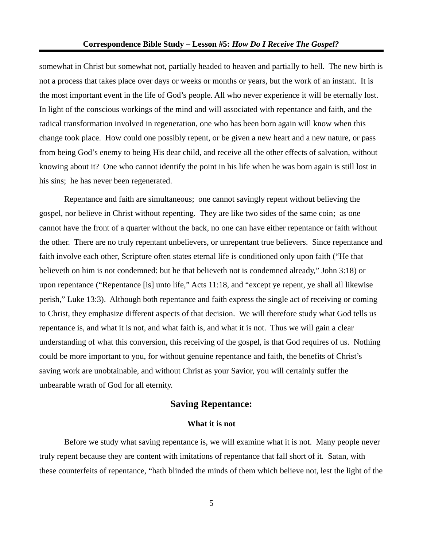somewhat in Christ but somewhat not, partially headed to heaven and partially to hell. The new birth is not a process that takes place over days or weeks or months or years, but the work of an instant. It is the most important event in the life of God's people. All who never experience it will be eternally lost. In light of the conscious workings of the mind and will associated with repentance and faith, and the radical transformation involved in regeneration, one who has been born again will know when this change took place. How could one possibly repent, or be given a new heart and a new nature, or pass from being God's enemy to being His dear child, and receive all the other effects of salvation, without knowing about it? One who cannot identify the point in his life when he was born again is still lost in his sins; he has never been regenerated.

Repentance and faith are simultaneous; one cannot savingly repent without believing the gospel, nor believe in Christ without repenting. They are like two sides of the same coin; as one cannot have the front of a quarter without the back, no one can have either repentance or faith without the other. There are no truly repentant unbelievers, or unrepentant true believers. Since repentance and faith involve each other, Scripture often states eternal life is conditioned only upon faith ("He that believeth on him is not condemned: but he that believeth not is condemned already," John 3:18) or upon repentance ("Repentance [is] unto life," Acts 11:18, and "except ye repent, ye shall all likewise perish," Luke 13:3). Although both repentance and faith express the single act of receiving or coming to Christ, they emphasize different aspects of that decision. We will therefore study what God tells us repentance is, and what it is not, and what faith is, and what it is not. Thus we will gain a clear understanding of what this conversion, this receiving of the gospel, is that God requires of us. Nothing could be more important to you, for without genuine repentance and faith, the benefits of Christ's saving work are unobtainable, and without Christ as your Savior, you will certainly suffer the unbearable wrath of God for all eternity.

# **Saving Repentance:**

#### **What it is not**

Before we study what saving repentance is, we will examine what it is not. Many people never truly repent because they are content with imitations of repentance that fall short of it. Satan, with these counterfeits of repentance, "hath blinded the minds of them which believe not, lest the light of the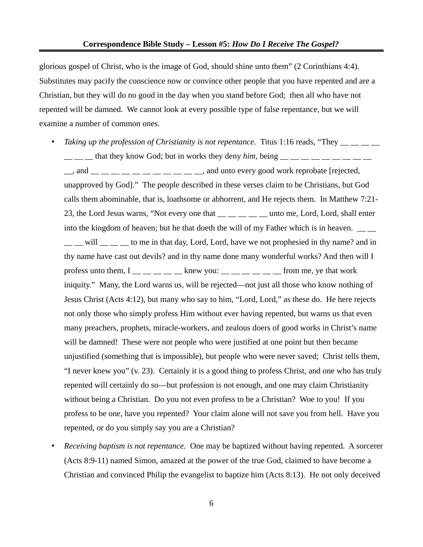glorious gospel of Christ, who is the image of God, should shine unto them" (2 Corinthians 4:4). Substitutes may pacify the conscience now or convince other people that you have repented and are a Christian, but they will do no good in the day when you stand before God; then all who have not repented will be damned. We cannot look at every possible type of false repentance, but we will examine a number of common ones.

• *Taking up the profession of Christianity is not repentance.* Titus 1:16 reads, "They  $\frac{1}{2}$  that they know God; but in works they deny *him*, being  $\frac{1}{2}$   $\frac{1}{2}$   $\frac{1}{2}$   $\frac{1}{2}$   $\frac{1}{2}$   $\frac{1}{2}$   $\frac{1}{2}$ 

\_\_, and \_\_ \_\_ \_\_ \_\_ \_\_ \_\_ \_\_ \_\_ \_\_ \_\_ \_\_, and unto every good work reprobate [rejected, unapproved by God]." The people described in these verses claim to be Christians, but God calls them abominable, that is, loathsome or abhorrent, and He rejects them. In Matthew 7:21- 23, the Lord Jesus warns, "Not every one that \_\_ \_\_ \_\_ \_\_ unto me, Lord, Lord, shall enter into the kingdom of heaven; but he that doeth the will of my Father which is in heaven.  $\frac{1}{\sqrt{2}}$ \_\_ \_\_ will \_\_ \_\_ \_\_ to me in that day, Lord, Lord, have we not prophesied in thy name? and in thy name have cast out devils? and in thy name done many wonderful works? And then will I profess unto them,  $I \_$  \_\_ \_ \_ \_ \_ knew you: \_ \_ \_ \_ \_ \_ \_ from me, ye that work iniquity." Many, the Lord warns us, will be rejected—not just all those who know nothing of Jesus Christ (Acts 4:12), but many who say to him, "Lord, Lord," as these do. He here rejects not only those who simply profess Him without ever having repented, but warns us that even many preachers, prophets, miracle-workers, and zealous doers of good works in Christ's name will be damned! These were not people who were justified at one point but then became unjustified (something that is impossible), but people who were never saved; Christ tells them, "I never knew you" (v. 23). Certainly it is a good thing to profess Christ, and one who has truly repented will certainly do so—but profession is not enough, and one may claim Christianity without being a Christian. Do you not even profess to be a Christian? Woe to you! If you profess to be one, have you repented? Your claim alone will not save you from hell. Have you repented, or do you simply say you are a Christian?

• *Receiving baptism is not repentance.* One may be baptized without having repented. A sorcerer (Acts 8:9-11) named Simon, amazed at the power of the true God, claimed to have become a Christian and convinced Philip the evangelist to baptize him (Acts 8:13). He not only deceived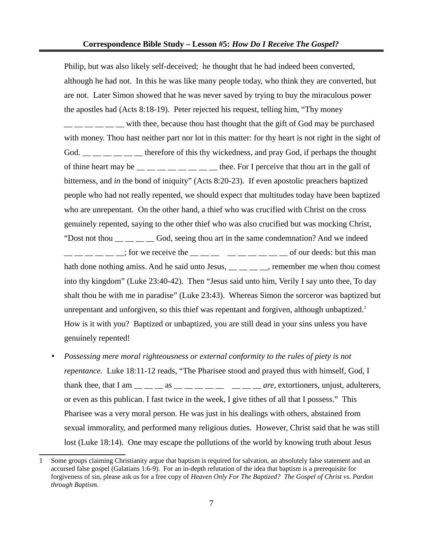Philip, but was also likely self-deceived; he thought that he had indeed been converted, although he had not. In this he was like many people today, who think they are converted, but are not. Later Simon showed that he was never saved by trying to buy the miraculous power the apostles had (Acts 8:18-19). Peter rejected his request, telling him, "Thy money  $\frac{1}{1}$   $\frac{1}{1}$   $\frac{1}{1}$   $\frac{1}{1}$  with thee, because thou hast thought that the gift of God may be purchased with money. Thou hast neither part nor lot in this matter: for thy heart is not right in the sight of God. **Example 1** therefore of this thy wickedness, and pray God, if perhaps the thought of thine heart may be  $\frac{m}{m}$   $\frac{m}{m}$   $\frac{m}{m}$   $\frac{m}{m}$   $\frac{m}{m}$  thee. For I perceive that thou art in the gall of bitterness, and *in* the bond of iniquity" (Acts 8:20-23). If even apostolic preachers baptized people who had not really repented, we should expect that multitudes today have been baptized who are unrepentant. On the other hand, a thief who was crucified with Christ on the cross genuinely repented, saying to the other thief who was also crucified but was mocking Christ, "Dost not thou  $\frac{1}{1}$  \_ \_ \_ \_ \_ God, seeing thou art in the same condemnation? And we indeed  $\frac{1}{1}$   $\frac{1}{1}$   $\frac{1}{2}$   $\frac{1}{2}$   $\frac{1}{2}$  for we receive the  $\frac{1}{2}$   $\frac{1}{2}$   $\frac{1}{2}$   $\frac{1}{2}$   $\frac{1}{2}$   $\frac{1}{2}$   $\frac{1}{2}$   $\frac{1}{2}$   $\frac{1}{2}$   $\frac{1}{2}$   $\frac{1}{2}$   $\frac{1}{2}$   $\frac{1}{2}$   $\frac{1}{2}$   $\frac{1}{2}$   $\$ hath done nothing amiss. And he said unto Jesus, \_\_ \_\_ \_\_ \_\_, remember me when thou comest into thy kingdom" (Luke 23:40-42). Then "Jesus said unto him, Verily I say unto thee, To day shalt thou be with me in paradise" (Luke 23:43). Whereas Simon the sorceror was baptized but unrepentant and unforgiven, so this thief was repentant and forgiven, although unbaptized.<sup>[1](#page-6-0)</sup> How is it with you? Baptized or unbaptized, you are still dead in your sins unless you have genuinely repented!

• *Possessing mere moral righteousness or external conformity to the rules of piety is not repentance.* Luke 18:11-12 reads, "The Pharisee stood and prayed thus with himself, God, I thank thee, that I am  $\_\_\_\_\_\_$  as  $\_\_\_\_\_\_\_$   $\_\_\_\_$   $\_\_\_\_$  are, extortioners, unjust, adulterers, or even as this publican. I fast twice in the week, I give tithes of all that I possess." This Pharisee was a very moral person. He was just in his dealings with others, abstained from sexual immorality, and performed many religious duties. However, Christ said that he was still lost (Luke 18:14). One may escape the pollutions of the world by knowing truth about Jesus

<span id="page-6-0"></span><sup>1</sup> Some groups claiming Christianity argue that baptism is required for salvation, an absolutely false statement and an accursed false gospel (Galatians 1:6-9). For an in-depth refutation of the idea that baptism is a prerequisite for forgiveness of sin, please ask us for a free copy of *Heaven Only For The Baptized? The Gospel of Christ vs. Pardon through Baptism.*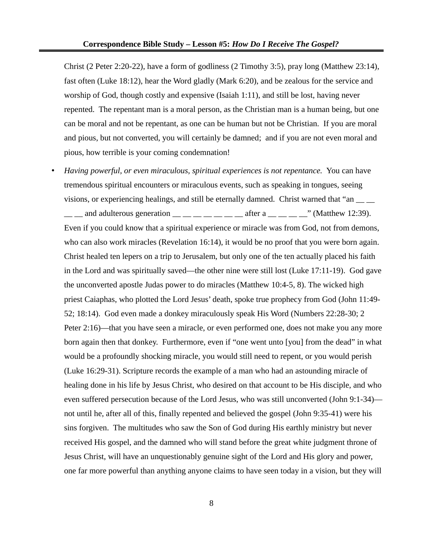Christ (2 Peter 2:20-22), have a form of godliness (2 Timothy 3:5), pray long (Matthew 23:14), fast often (Luke 18:12), hear the Word gladly (Mark 6:20), and be zealous for the service and worship of God, though costly and expensive (Isaiah 1:11), and still be lost, having never repented. The repentant man is a moral person, as the Christian man is a human being, but one can be moral and not be repentant, as one can be human but not be Christian. If you are moral and pious, but not converted, you will certainly be damned; and if you are not even moral and pious, how terrible is your coming condemnation!

• *Having powerful, or even miraculous, spiritual experiences is not repentance.* You can have tremendous spiritual encounters or miraculous events, such as speaking in tongues, seeing visions, or experiencing healings, and still be eternally damned. Christ warned that "an  $\_\_$ 

 $\frac{1}{1}$  and adulterous generation  $\frac{1}{1}$   $\frac{1}{1}$   $\frac{1}{1}$   $\frac{1}{1}$   $\frac{1}{1}$  after a  $\frac{1}{1}$   $\frac{1}{1}$   $\frac{1}{1}$   $\frac{1}{1}$  (Matthew 12:39). Even if you could know that a spiritual experience or miracle was from God, not from demons, who can also work miracles (Revelation 16:14), it would be no proof that you were born again. Christ healed ten lepers on a trip to Jerusalem, but only one of the ten actually placed his faith in the Lord and was spiritually saved—the other nine were still lost (Luke 17:11-19). God gave the unconverted apostle Judas power to do miracles (Matthew 10:4-5, 8). The wicked high priest Caiaphas, who plotted the Lord Jesus' death, spoke true prophecy from God (John 11:49- 52; 18:14). God even made a donkey miraculously speak His Word (Numbers 22:28-30; 2 Peter 2:16)—that you have seen a miracle, or even performed one, does not make you any more born again then that donkey. Furthermore, even if "one went unto [you] from the dead" in what would be a profoundly shocking miracle, you would still need to repent, or you would perish (Luke 16:29-31). Scripture records the example of a man who had an astounding miracle of healing done in his life by Jesus Christ, who desired on that account to be His disciple, and who even suffered persecution because of the Lord Jesus, who was still unconverted (John 9:1-34) not until he, after all of this, finally repented and believed the gospel (John 9:35-41) were his sins forgiven. The multitudes who saw the Son of God during His earthly ministry but never received His gospel, and the damned who will stand before the great white judgment throne of Jesus Christ, will have an unquestionably genuine sight of the Lord and His glory and power, one far more powerful than anything anyone claims to have seen today in a vision, but they will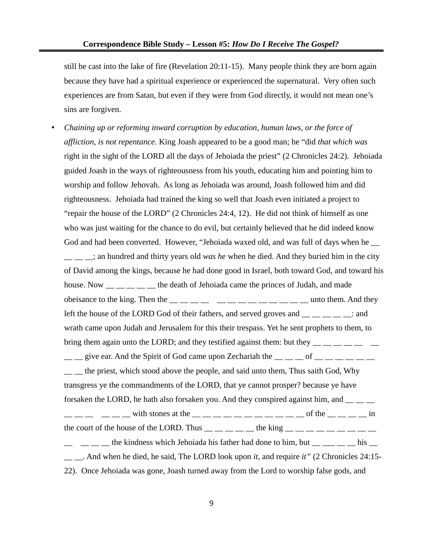still be cast into the lake of fire (Revelation 20:11-15). Many people think they are born again because they have had a spiritual experience or experienced the supernatural. Very often such experiences are from Satan, but even if they were from God directly, it would not mean one's sins are forgiven.

• *Chaining up or reforming inward corruption by education, human laws, or the force of affliction, is not repentance.* King Joash appeared to be a good man; he "did *that which was* right in the sight of the LORD all the days of Jehoiada the priest" (2 Chronicles 24:2). Jehoiada guided Joash in the ways of righteousness from his youth, educating him and pointing him to worship and follow Jehovah. As long as Jehoiada was around, Joash followed him and did righteousness. Jehoiada had trained the king so well that Joash even initiated a project to "repair the house of the LORD" (2 Chronicles 24:4, 12). He did not think of himself as one who was just waiting for the chance to do evil, but certainly believed that he did indeed know God and had been converted. However, "Jehoiada waxed old, and was full of days when he  $\equiv$ \_\_ \_\_ \_\_; an hundred and thirty years old *was he* when he died. And they buried him in the city of David among the kings, because he had done good in Israel, both toward God, and toward his house. Now \_\_ \_\_ \_\_ \_\_ the death of Jehoiada came the princes of Judah, and made obeisance to the king. Then the  $\frac{1}{\sqrt{2}}$   $\frac{1}{\sqrt{2}}$   $\frac{1}{\sqrt{2}}$   $\frac{1}{\sqrt{2}}$   $\frac{1}{\sqrt{2}}$   $\frac{1}{\sqrt{2}}$   $\frac{1}{\sqrt{2}}$   $\frac{1}{\sqrt{2}}$   $\frac{1}{\sqrt{2}}$   $\frac{1}{\sqrt{2}}$   $\frac{1}{\sqrt{2}}$   $\frac{1}{\sqrt{2}}$   $\frac{1}{\sqrt{2}}$   $\frac{1}{\sqrt{2}}$   $\frac{1}{\$ left the house of the LORD God of their fathers, and served groves and  $\frac{1}{\sqrt{2}}$  =  $\frac{1}{\sqrt{2}}$  and wrath came upon Judah and Jerusalem for this their trespass. Yet he sent prophets to them, to bring them again unto the LORD; and they testified against them: but they  $\frac{1}{1-\frac{1}{1-\frac{1}{1-\frac{1}{1-\frac{1}{1-\frac{1}{1-\frac{1}{1-\frac{1}{1-\frac{1}{1-\frac{1}{1-\frac{1}{1-\frac{1}{1-\frac{1}{1-\frac{1}{1-\frac{1}{1-\frac{1}{1-\frac{1}{1-\frac{1}{1-\frac{1}{1-\frac{1}{1-\frac{1}{1-\frac{1}{1-\frac{1}{1-\frac{1}{1-\frac$  $\frac{1}{2}$  give ear. And the Spirit of God came upon Zechariah the  $\frac{1}{2}$  of  $\frac{1}{2}$  of  $\frac{1}{2}$  $\frac{1}{1}$  the priest, which stood above the people, and said unto them, Thus saith God, Why transgress ye the commandments of the LORD, that ye cannot prosper? because ye have forsaken the LORD, he hath also forsaken you. And they conspired against him, and \_\_ \_\_ \_\_  $\begin{array}{l} \mathsf{I} \ \mathsf{I} \ \mathsf{I} \ \mathsf{I} \ \mathsf{I} \ \mathsf{I} \ \mathsf{I} \ \mathsf{I} \ \mathsf{I} \ \mathsf{I} \ \mathsf{I} \ \mathsf{I} \ \mathsf{I} \ \mathsf{I} \ \mathsf{I} \ \mathsf{I} \ \mathsf{I} \ \mathsf{I} \ \mathsf{I} \ \mathsf{I} \ \mathsf{I} \ \mathsf{I} \ \mathsf{I} \ \mathsf{I} \ \mathsf{I} \ \mathsf{I} \ \mathsf{I} \ \mathsf{I} \ \mathsf{I} \ \mathsf{I} \ \mathsf$ the court of the house of the LORD. Thus  $\frac{1}{\sqrt{1-\frac{1}{n}}}$  the king  $\frac{1}{\sqrt{1-\frac{1}{n}}}$   $\frac{1}{\sqrt{1-\frac{1}{n}}}$ the kindness which Jehoiada his father had done to him, but **his zo the his quarter** had done to him, but \_\_ \_\_. And when he died, he said, The LORD look upon *it*, and require *it"* (2 Chronicles 24:15- 22). Once Jehoiada was gone, Joash turned away from the Lord to worship false gods, and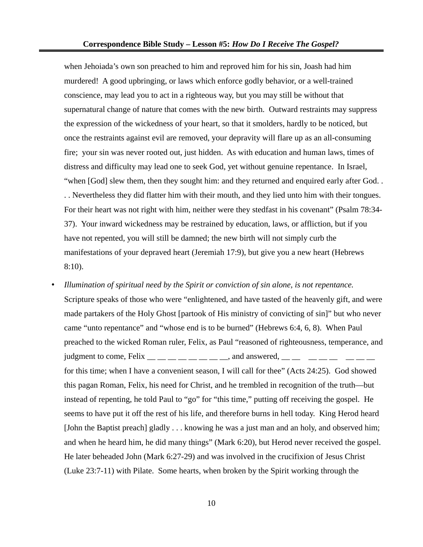when Jehoiada's own son preached to him and reproved him for his sin, Joash had him murdered! A good upbringing, or laws which enforce godly behavior, or a well-trained conscience, may lead you to act in a righteous way, but you may still be without that supernatural change of nature that comes with the new birth. Outward restraints may suppress the expression of the wickedness of your heart, so that it smolders, hardly to be noticed, but once the restraints against evil are removed, your depravity will flare up as an all-consuming fire; your sin was never rooted out, just hidden. As with education and human laws, times of distress and difficulty may lead one to seek God, yet without genuine repentance. In Israel, "when [God] slew them, then they sought him: and they returned and enquired early after God. . . . Nevertheless they did flatter him with their mouth, and they lied unto him with their tongues. For their heart was not right with him, neither were they stedfast in his covenant" (Psalm 78:34- 37). Your inward wickedness may be restrained by education, laws, or affliction, but if you have not repented, you will still be damned; the new birth will not simply curb the manifestations of your depraved heart (Jeremiah 17:9), but give you a new heart (Hebrews 8:10).

• *Illumination of spiritual need by the Spirit or conviction of sin alone, is not repentance.* Scripture speaks of those who were "enlightened, and have tasted of the heavenly gift, and were made partakers of the Holy Ghost [partook of His ministry of convicting of sin]" but who never came "unto repentance" and "whose end is to be burned" (Hebrews 6:4, 6, 8). When Paul preached to the wicked Roman ruler, Felix, as Paul "reasoned of righteousness, temperance, and judgment to come, Felix  $\frac{m}{m}$   $\frac{m}{m}$   $\frac{m}{m}$   $\frac{m}{m}$  and answered,  $\frac{m}{m}$   $\frac{m}{m}$   $\frac{m}{m}$ for this time; when I have a convenient season, I will call for thee" (Acts 24:25). God showed this pagan Roman, Felix, his need for Christ, and he trembled in recognition of the truth—but instead of repenting, he told Paul to "go" for "this time," putting off receiving the gospel. He seems to have put it off the rest of his life, and therefore burns in hell today. King Herod heard [John the Baptist preach] gladly . . . knowing he was a just man and an holy, and observed him; and when he heard him, he did many things" (Mark 6:20), but Herod never received the gospel. He later beheaded John (Mark 6:27-29) and was involved in the crucifixion of Jesus Christ (Luke 23:7-11) with Pilate. Some hearts, when broken by the Spirit working through the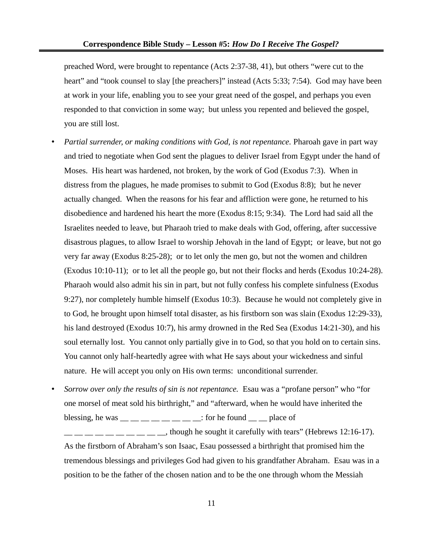preached Word, were brought to repentance (Acts 2:37-38, 41), but others "were cut to the heart" and "took counsel to slay [the preachers]" instead (Acts 5:33; 7:54). God may have been at work in your life, enabling you to see your great need of the gospel, and perhaps you even responded to that conviction in some way; but unless you repented and believed the gospel, you are still lost.

- *Partial surrender, or making conditions with God, is not repentance.* Pharoah gave in part way and tried to negotiate when God sent the plagues to deliver Israel from Egypt under the hand of Moses. His heart was hardened, not broken, by the work of God (Exodus 7:3). When in distress from the plagues, he made promises to submit to God (Exodus 8:8); but he never actually changed. When the reasons for his fear and affliction were gone, he returned to his disobedience and hardened his heart the more (Exodus 8:15; 9:34). The Lord had said all the Israelites needed to leave, but Pharaoh tried to make deals with God, offering, after successive disastrous plagues, to allow Israel to worship Jehovah in the land of Egypt; or leave, but not go very far away (Exodus 8:25-28); or to let only the men go, but not the women and children (Exodus 10:10-11); or to let all the people go, but not their flocks and herds (Exodus 10:24-28). Pharaoh would also admit his sin in part, but not fully confess his complete sinfulness (Exodus 9:27), nor completely humble himself (Exodus 10:3). Because he would not completely give in to God, he brought upon himself total disaster, as his firstborn son was slain (Exodus 12:29-33), his land destroyed (Exodus 10:7), his army drowned in the Red Sea (Exodus 14:21-30), and his soul eternally lost. You cannot only partially give in to God, so that you hold on to certain sins. You cannot only half-heartedly agree with what He says about your wickedness and sinful nature. He will accept you only on His own terms: unconditional surrender.
- *Sorrow over only the results of sin is not repentance.* Esau was a "profane person" who "for one morsel of meat sold his birthright," and "afterward, when he would have inherited the blessing, he was  $\frac{m}{m}$   $\frac{m}{m}$   $\frac{m}{m}$   $\frac{m}{m}$   $\frac{m}{m}$   $\frac{m}{m}$ : for he found  $\frac{m}{m}$   $\frac{m}{m}$  place of  $\frac{1}{1}$   $\frac{1}{1}$   $\frac{1}{1}$   $\frac{1}{1}$   $\frac{1}{1}$   $\frac{1}{1}$   $\frac{1}{1}$   $\frac{1}{1}$   $\frac{1}{1}$   $\frac{1}{1}$   $\frac{1}{1}$   $\frac{1}{1}$   $\frac{1}{1}$   $\frac{1}{1}$   $\frac{1}{1}$   $\frac{1}{1}$   $\frac{1}{1}$   $\frac{1}{1}$   $\frac{1}{1}$   $\frac{1}{1}$   $\frac{1}{1}$   $\frac{1}{1}$  As the firstborn of Abraham's son Isaac, Esau possessed a birthright that promised him the tremendous blessings and privileges God had given to his grandfather Abraham. Esau was in a position to be the father of the chosen nation and to be the one through whom the Messiah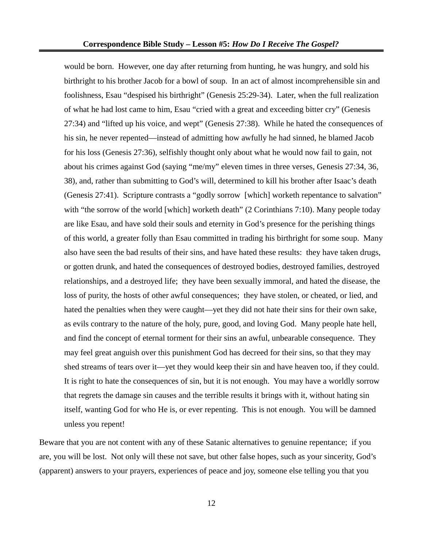would be born. However, one day after returning from hunting, he was hungry, and sold his birthright to his brother Jacob for a bowl of soup. In an act of almost incomprehensible sin and foolishness, Esau "despised his birthright" (Genesis 25:29-34). Later, when the full realization of what he had lost came to him, Esau "cried with a great and exceeding bitter cry" (Genesis 27:34) and "lifted up his voice, and wept" (Genesis 27:38). While he hated the consequences of his sin, he never repented—instead of admitting how awfully he had sinned, he blamed Jacob for his loss (Genesis 27:36), selfishly thought only about what he would now fail to gain, not about his crimes against God (saying "me/my" eleven times in three verses, Genesis 27:34, 36, 38), and, rather than submitting to God's will, determined to kill his brother after Isaac's death (Genesis 27:41). Scripture contrasts a "godly sorrow [which] worketh repentance to salvation" with "the sorrow of the world [which] worketh death" (2 Corinthians 7:10). Many people today are like Esau, and have sold their souls and eternity in God's presence for the perishing things of this world, a greater folly than Esau committed in trading his birthright for some soup. Many also have seen the bad results of their sins, and have hated these results: they have taken drugs, or gotten drunk, and hated the consequences of destroyed bodies, destroyed families, destroyed relationships, and a destroyed life; they have been sexually immoral, and hated the disease, the loss of purity, the hosts of other awful consequences; they have stolen, or cheated, or lied, and hated the penalties when they were caught—yet they did not hate their sins for their own sake, as evils contrary to the nature of the holy, pure, good, and loving God. Many people hate hell, and find the concept of eternal torment for their sins an awful, unbearable consequence. They may feel great anguish over this punishment God has decreed for their sins, so that they may shed streams of tears over it—yet they would keep their sin and have heaven too, if they could. It is right to hate the consequences of sin, but it is not enough. You may have a worldly sorrow that regrets the damage sin causes and the terrible results it brings with it, without hating sin itself, wanting God for who He is, or ever repenting. This is not enough. You will be damned unless you repent!

Beware that you are not content with any of these Satanic alternatives to genuine repentance; if you are, you will be lost. Not only will these not save, but other false hopes, such as your sincerity, God's (apparent) answers to your prayers, experiences of peace and joy, someone else telling you that you

12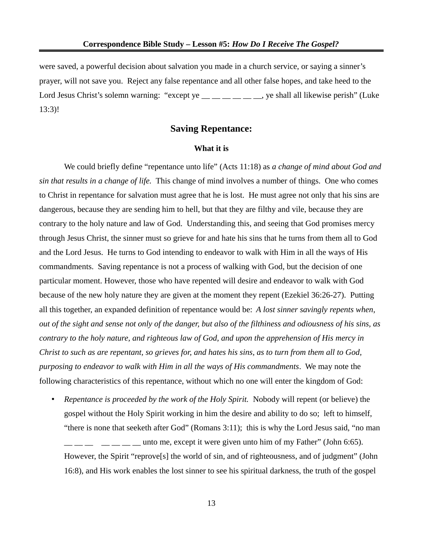were saved, a powerful decision about salvation you made in a church service, or saying a sinner's prayer, will not save you. Reject any false repentance and all other false hopes, and take heed to the Lord Jesus Christ's solemn warning: "except ye  $\_\_\_\_\_\_\_\_\_\_\$  ye shall all likewise perish" (Luke 13:3)!

# **Saving Repentance:**

#### **What it is**

We could briefly define "repentance unto life" (Acts 11:18) as *a change of mind about God and sin that results in a change of life.* This change of mind involves a number of things. One who comes to Christ in repentance for salvation must agree that he is lost. He must agree not only that his sins are dangerous, because they are sending him to hell, but that they are filthy and vile, because they are contrary to the holy nature and law of God. Understanding this, and seeing that God promises mercy through Jesus Christ, the sinner must so grieve for and hate his sins that he turns from them all to God and the Lord Jesus. He turns to God intending to endeavor to walk with Him in all the ways of His commandments. Saving repentance is not a process of walking with God, but the decision of one particular moment. However, those who have repented will desire and endeavor to walk with God because of the new holy nature they are given at the moment they repent (Ezekiel 36:26-27). Putting all this together, an expanded definition of repentance would be: *A lost sinner savingly repents when, out of the sight and sense not only of the danger, but also of the filthiness and odiousness of his sins, as contrary to the holy nature, and righteous law of God, and upon the apprehension of His mercy in Christ to such as are repentant, so grieves for, and hates his sins, as to turn from them all to God, purposing to endeavor to walk with Him in all the ways of His commandments*. We may note the following characteristics of this repentance, without which no one will enter the kingdom of God:

• *Repentance is proceeded by the work of the Holy Spirit.* Nobody will repent (or believe) the gospel without the Holy Spirit working in him the desire and ability to do so; left to himself, "there is none that seeketh after God" (Romans 3:11); this is why the Lord Jesus said, "no man unto me, except it were given unto him of my Father" (John 6:65). However, the Spirit "reprove[s] the world of sin, and of righteousness, and of judgment" (John 16:8), and His work enables the lost sinner to see his spiritual darkness, the truth of the gospel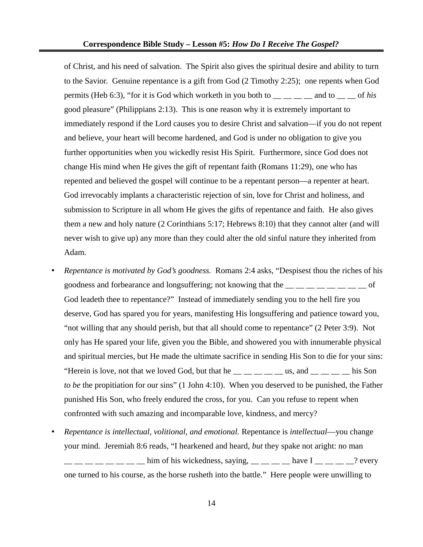of Christ, and his need of salvation. The Spirit also gives the spiritual desire and ability to turn to the Savior. Genuine repentance is a gift from God (2 Timothy 2:25); one repents when God permits (Heb 6:3), "for it is God which worketh in you both to \_\_ \_\_ \_\_ \_\_ and to \_\_ \_\_ of *his* good pleasure" (Philippians 2:13). This is one reason why it is extremely important to immediately respond if the Lord causes you to desire Christ and salvation—if you do not repent and believe, your heart will become hardened, and God is under no obligation to give you further opportunities when you wickedly resist His Spirit. Furthermore, since God does not change His mind when He gives the gift of repentant faith (Romans 11:29), one who has repented and believed the gospel will continue to be a repentant person—a repenter at heart. God irrevocably implants a characteristic rejection of sin, love for Christ and holiness, and submission to Scripture in all whom He gives the gifts of repentance and faith. He also gives them a new and holy nature (2 Corinthians 5:17; Hebrews 8:10) that they cannot alter (and will never wish to give up) any more than they could alter the old sinful nature they inherited from Adam.

- *Repentance is motivated by God's goodness.* Romans 2:4 asks, "Despisest thou the riches of his goodness and forbearance and longsuffering; not knowing that the  $\frac{1}{1}$   $\frac{1}{1}$   $\frac{1}{1}$   $\frac{1}{1}$   $\frac{1}{1}$   $\frac{1}{1}$   $\frac{1}{1}$   $\frac{1}{1}$   $\frac{1}{1}$   $\frac{1}{1}$   $\frac{1}{1}$   $\frac{1}{1}$   $\frac{1}{1}$   $\frac{1}{1}$   $\frac{1}{1}$   $\frac{1}{$ God leadeth thee to repentance?" Instead of immediately sending you to the hell fire you deserve, God has spared you for years, manifesting His longsuffering and patience toward you, "not willing that any should perish, but that all should come to repentance" (2 Peter 3:9). Not only has He spared your life, given you the Bible, and showered you with innumerable physical and spiritual mercies, but He made the ultimate sacrifice in sending His Son to die for your sins: "Herein is love, not that we loved God, but that he  $\_\_\_\_\_\_\_\_\_\_\$ us, and  $\_\_\_\_\_\_\_\$ his Son *to be* the propitiation for our sins" (1 John 4:10). When you deserved to be punished, the Father punished His Son, who freely endured the cross, for you. Can you refuse to repent when confronted with such amazing and incomparable love, kindness, and mercy?
- *Repentance is intellectual, volitional, and emotional.* Repentance is *intellectual*—you change your mind. Jeremiah 8:6 reads, "I hearkened and heard, *but* they spake not aright: no man  $\frac{1}{2}$   $\frac{1}{2}$   $\frac{1}{2}$  him of his wickedness, saying,  $\frac{1}{2}$   $\frac{1}{2}$  have I  $\frac{1}{2}$   $\frac{1}{2}$  every one turned to his course, as the horse rusheth into the battle." Here people were unwilling to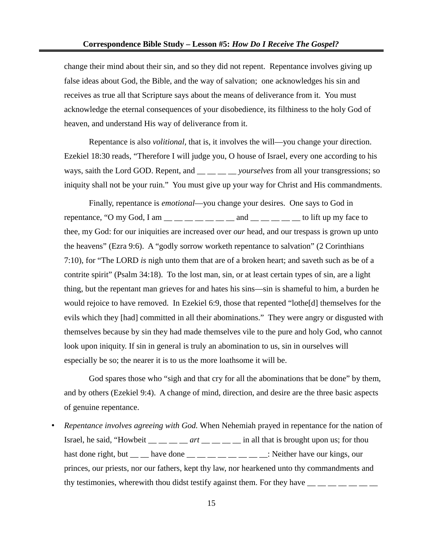change their mind about their sin, and so they did not repent. Repentance involves giving up false ideas about God, the Bible, and the way of salvation; one acknowledges his sin and receives as true all that Scripture says about the means of deliverance from it. You must acknowledge the eternal consequences of your disobedience, its filthiness to the holy God of heaven, and understand His way of deliverance from it.

Repentance is also *volitional,* that is, it involves the will—you change your direction. Ezekiel 18:30 reads, "Therefore I will judge you, O house of Israel, every one according to his ways, saith the Lord GOD. Repent, and  $\_\_\_\_\_\_$ *yourselves* from all your transgressions; so iniquity shall not be your ruin." You must give up your way for Christ and His commandments.

Finally, repentance is *emotional*—you change your desires. One says to God in repentance, "O my God, I am  $\_\_\_\_\_\_\_\_\_\_\_$  and  $\_\_\_\_\_\_\_\_$  to lift up my face to thee, my God: for our iniquities are increased over *our* head, and our trespass is grown up unto the heavens" (Ezra 9:6). A "godly sorrow worketh repentance to salvation" (2 Corinthians 7:10), for "The LORD *is* nigh unto them that are of a broken heart; and saveth such as be of a contrite spirit" (Psalm 34:18). To the lost man, sin, or at least certain types of sin, are a light thing, but the repentant man grieves for and hates his sins—sin is shameful to him, a burden he would rejoice to have removed. In Ezekiel 6:9, those that repented "lothe[d] themselves for the evils which they [had] committed in all their abominations." They were angry or disgusted with themselves because by sin they had made themselves vile to the pure and holy God, who cannot look upon iniquity. If sin in general is truly an abomination to us, sin in ourselves will especially be so; the nearer it is to us the more loathsome it will be.

God spares those who "sigh and that cry for all the abominations that be done" by them, and by others (Ezekiel 9:4). A change of mind, direction, and desire are the three basic aspects of genuine repentance.

• *Repentance involves agreeing with God.* When Nehemiah prayed in repentance for the nation of Israel, he said, "Howbeit \_\_ \_\_ \_\_ \_\_ art \_\_ \_\_ \_\_ in all that is brought upon us; for thou hast done right, but  $\_\_$  have done  $\_\_$   $\_\_$   $\_\_$   $\_\_$   $\_\_$ : Neither have our kings, our princes, our priests, nor our fathers, kept thy law, nor hearkened unto thy commandments and thy testimonies, wherewith thou didst testify against them. For they have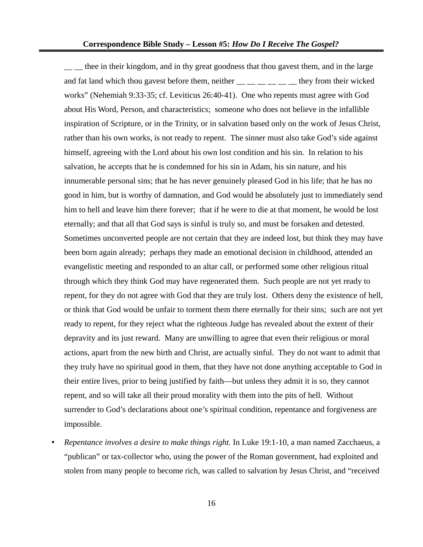<sub>\_\_</sub> \_\_ thee in their kingdom, and in thy great goodness that thou gavest them, and in the large and fat land which thou gavest before them, neither  $\frac{1}{\sqrt{2}}$  \_\_ \_\_ \_\_ \_\_ they from their wicked works" (Nehemiah 9:33-35; cf. Leviticus 26:40-41). One who repents must agree with God about His Word, Person, and characteristics; someone who does not believe in the infallible inspiration of Scripture, or in the Trinity, or in salvation based only on the work of Jesus Christ, rather than his own works, is not ready to repent. The sinner must also take God's side against himself, agreeing with the Lord about his own lost condition and his sin. In relation to his salvation, he accepts that he is condemned for his sin in Adam, his sin nature, and his innumerable personal sins; that he has never genuinely pleased God in his life; that he has no good in him, but is worthy of damnation, and God would be absolutely just to immediately send him to hell and leave him there forever; that if he were to die at that moment, he would be lost eternally; and that all that God says is sinful is truly so, and must be forsaken and detested. Sometimes unconverted people are not certain that they are indeed lost, but think they may have been born again already; perhaps they made an emotional decision in childhood, attended an evangelistic meeting and responded to an altar call, or performed some other religious ritual through which they think God may have regenerated them. Such people are not yet ready to repent, for they do not agree with God that they are truly lost. Others deny the existence of hell, or think that God would be unfair to torment them there eternally for their sins; such are not yet ready to repent, for they reject what the righteous Judge has revealed about the extent of their depravity and its just reward. Many are unwilling to agree that even their religious or moral actions, apart from the new birth and Christ, are actually sinful. They do not want to admit that they truly have no spiritual good in them, that they have not done anything acceptable to God in their entire lives, prior to being justified by faith—but unless they admit it is so, they cannot repent, and so will take all their proud morality with them into the pits of hell. Without surrender to God's declarations about one's spiritual condition, repentance and forgiveness are impossible.

• *Repentance involves a desire to make things right.* In Luke 19:1-10, a man named Zacchaeus, a "publican" or tax-collector who, using the power of the Roman government, had exploited and stolen from many people to become rich, was called to salvation by Jesus Christ, and "received

16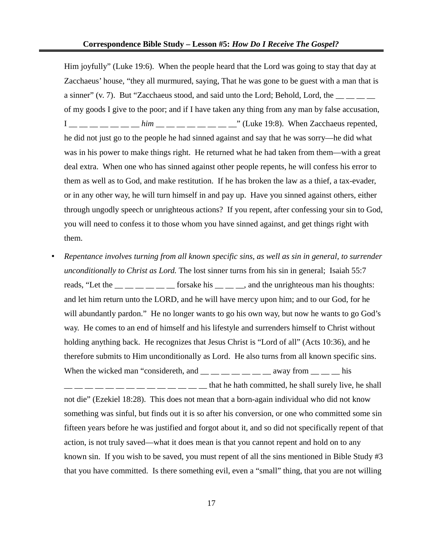Him joyfully" (Luke 19:6). When the people heard that the Lord was going to stay that day at Zacchaeus' house, "they all murmured, saying, That he was gone to be guest with a man that is a sinner" (v. 7). But "Zacchaeus stood, and said unto the Lord; Behold, Lord, the  $\frac{1}{\sqrt{2}}$ of my goods I give to the poor; and if I have taken any thing from any man by false accusation,  $I_{\frac{m}{2}} = 1 - \frac{m}{2} - \frac{1}{2}$  him  $\frac{m}{2} = 1 - \frac{m}{2} - \frac{1}{2}$  (Luke 19:8). When Zacchaeus repented, he did not just go to the people he had sinned against and say that he was sorry—he did what was in his power to make things right. He returned what he had taken from them—with a great deal extra. When one who has sinned against other people repents, he will confess his error to them as well as to God, and make restitution. If he has broken the law as a thief, a tax-evader, or in any other way, he will turn himself in and pay up. Have you sinned against others, either through ungodly speech or unrighteous actions? If you repent, after confessing your sin to God, you will need to confess it to those whom you have sinned against, and get things right with them.

• *Repentance involves turning from all known specific sins, as well as sin in general, to surrender unconditionally to Christ as Lord.* The lost sinner turns from his sin in general; Isaiah 55:7 reads, "Let the  $\frac{1}{\sqrt{2}}$   $\frac{1}{\sqrt{2}}$  for sake his  $\frac{1}{\sqrt{2}}$  and the unrighteous man his thoughts: and let him return unto the LORD, and he will have mercy upon him; and to our God, for he will abundantly pardon." He no longer wants to go his own way, but now he wants to go God's way. He comes to an end of himself and his lifestyle and surrenders himself to Christ without holding anything back. He recognizes that Jesus Christ is "Lord of all" (Acts 10:36), and he therefore submits to Him unconditionally as Lord. He also turns from all known specific sins. When the wicked man "considereth, and  $\frac{1}{1}$   $\frac{1}{1}$   $\frac{1}{1}$   $\frac{1}{1}$   $\frac{1}{1}$  away from  $\frac{1}{1}$   $\frac{1}{1}$  his  $\frac{1}{1}$   $\frac{1}{1}$   $\frac{1}{1}$   $\frac{1}{1}$   $\frac{1}{1}$   $\frac{1}{1}$  that he hath committed, he shall surely live, he shall not die" (Ezekiel 18:28). This does not mean that a born-again individual who did not know something was sinful, but finds out it is so after his conversion, or one who committed some sin fifteen years before he was justified and forgot about it, and so did not specifically repent of that action, is not truly saved—what it does mean is that you cannot repent and hold on to any known sin. If you wish to be saved, you must repent of all the sins mentioned in Bible Study #3 that you have committed. Is there something evil, even a "small" thing, that you are not willing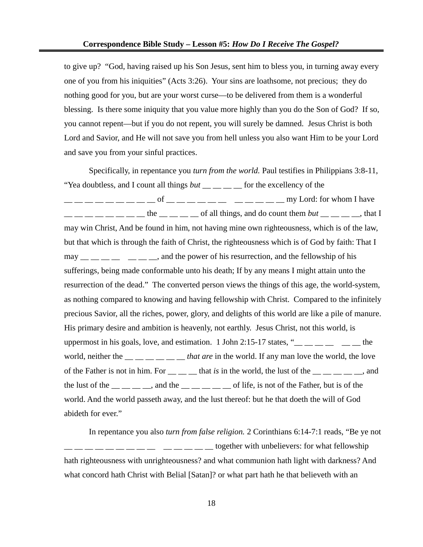to give up? "God, having raised up his Son Jesus, sent him to bless you, in turning away every one of you from his iniquities" (Acts 3:26). Your sins are loathsome, not precious; they do nothing good for you, but are your worst curse—to be delivered from them is a wonderful blessing. Is there some iniquity that you value more highly than you do the Son of God? If so, you cannot repent—but if you do not repent, you will surely be damned. Jesus Christ is both Lord and Savior, and He will not save you from hell unless you also want Him to be your Lord and save you from your sinful practices.

Specifically, in repentance you *turn from the world.* Paul testifies in Philippians 3:8-11, "Yea doubtless, and I count all things *but* \_\_ \_ \_ \_ \_ for the excellency of the  $\frac{1}{1}$   $\frac{1}{1}$   $\frac{1}{1}$   $\frac{1}{1}$   $\frac{1}{1}$   $\frac{1}{1}$   $\frac{1}{1}$   $\frac{1}{1}$   $\frac{1}{1}$   $\frac{1}{1}$   $\frac{1}{1}$   $\frac{1}{1}$   $\frac{1}{1}$   $\frac{1}{1}$   $\frac{1}{1}$   $\frac{1}{1}$   $\frac{1}{1}$   $\frac{1}{1}$   $\frac{1}{1}$   $\frac{1}{1}$   $\frac{1}{1}$   $\frac{1}{1}$   $\frac{1}{2}$  \_\_ \_\_ \_\_ \_\_ \_\_ the \_\_ \_\_ \_\_ of all things, and do count them *but* \_\_ \_\_ \_\_ , that I may win Christ, And be found in him, not having mine own righteousness, which is of the law, but that which is through the faith of Christ, the righteousness which is of God by faith: That I  $\text{may}$   $\_\_\_\_\_\_\_\_\_\_\_\_\_\_\_\_\_\_\_\_\_$  and the power of his resurrection, and the fellowship of his sufferings, being made conformable unto his death; If by any means I might attain unto the resurrection of the dead." The converted person views the things of this age, the world-system, as nothing compared to knowing and having fellowship with Christ. Compared to the infinitely precious Savior, all the riches, power, glory, and delights of this world are like a pile of manure. His primary desire and ambition is heavenly, not earthly. Jesus Christ, not this world, is uppermost in his goals, love, and estimation. 1 John 2:15-17 states, " $\_\_\_\_$   $\_\_\_\_$ world, neither the \_\_ \_\_ \_\_ \_\_ \_\_ \_\_ *that are* in the world. If any man love the world, the love of the Father is not in him. For  $\_\_\_\_\_$  that *is* in the world, the lust of the  $\_\_\_\_\_\_\_$  and the lust of the  $\_\_$   $\_\_$ , and the  $\_\_$   $\_\_$   $\_\_$  of life, is not of the Father, but is of the world. And the world passeth away, and the lust thereof: but he that doeth the will of God abideth for ever."

In repentance you also *turn from false religion.* 2 Corinthians 6:14-7:1 reads, "Be ye not  $\frac{1}{1}$   $\frac{1}{1}$   $\frac{1}{1}$   $\frac{1}{1}$   $\frac{1}{1}$   $\frac{1}{1}$   $\frac{1}{1}$   $\frac{1}{1}$  together with unbelievers: for what fellowship hath righteousness with unrighteousness? and what communion hath light with darkness? And what concord hath Christ with Belial [Satan]? or what part hath he that believeth with an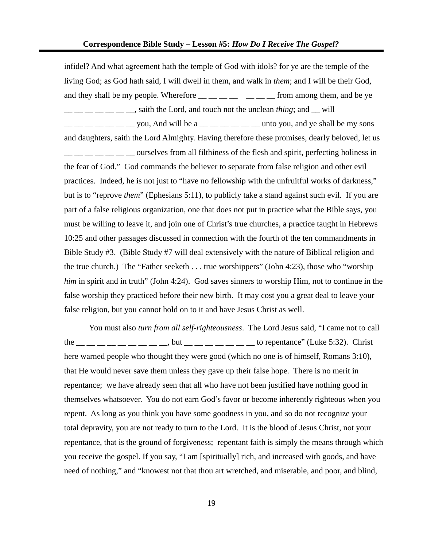infidel? And what agreement hath the temple of God with idols? for ye are the temple of the living God; as God hath said, I will dwell in them, and walk in *them*; and I will be their God, and they shall be my people. Wherefore  $\_\_\_\_\_\_\_\_$   $\_\_\_\_\_$  from among them, and be ye  $\frac{1}{1}$   $\frac{1}{1}$   $\frac{1}{1}$   $\frac{1}{1}$   $\frac{1}{1}$   $\frac{1}{1}$   $\frac{1}{1}$   $\frac{1}{1}$   $\frac{1}{1}$   $\frac{1}{1}$   $\frac{1}{1}$   $\frac{1}{1}$   $\frac{1}{1}$   $\frac{1}{1}$   $\frac{1}{1}$   $\frac{1}{1}$   $\frac{1}{1}$   $\frac{1}{1}$   $\frac{1}{1}$   $\frac{1}{1}$   $\frac{1}{1}$   $\frac{1}{1}$   $\frac{1}{1}$   $\frac{1}{1}$   $\frac{1}{2}$   $\frac{1}{2}$  you, And will be a  $\frac{1}{2}$   $\frac{1}{2}$   $\frac{1}{2}$   $\frac{1}{2}$   $\frac{1}{2}$  unto you, and ye shall be my sons and daughters, saith the Lord Almighty. Having therefore these promises, dearly beloved, let us  $\frac{1}{1-\frac{1}{1-\frac{1}{1-\frac{1}{1-\frac{1}{1-\frac{1}{1-\frac{1}{1-\frac{1}{1-\frac{1}{1-\frac{1}{1-\frac{1}{1-\frac{1}{1-\frac{1}{1-\frac{1}{1-\frac{1}{1-\frac{1}{1-\frac{1}{1-\frac{1}{1-\frac{1}{1-\frac{1}{1-\frac{1}{1-\frac{1}{1-\frac{1}{1-\frac{1}{1-\frac{1}{1-\frac{1}{1-\frac{1}{1-\frac{1}{1-\frac{1}{1-\frac{1}{1-\frac{1}{1-\frac{1}{1-\frac{1}{1-\frac{1}{1-\frac{1}{1-\frac{1}{1-\frac{1}{$ the fear of God." God commands the believer to separate from false religion and other evil practices. Indeed, he is not just to "have no fellowship with the unfruitful works of darkness," but is to "reprove *them*" (Ephesians 5:11), to publicly take a stand against such evil. If you are part of a false religious organization, one that does not put in practice what the Bible says, you must be willing to leave it, and join one of Christ's true churches, a practice taught in Hebrews 10:25 and other passages discussed in connection with the fourth of the ten commandments in Bible Study #3. (Bible Study #7 will deal extensively with the nature of Biblical religion and the true church.) The "Father seeketh . . . true worshippers" (John 4:23), those who "worship *him* in spirit and in truth" (John 4:24). God saves sinners to worship Him, not to continue in the false worship they practiced before their new birth. It may cost you a great deal to leave your false religion, but you cannot hold on to it and have Jesus Christ as well.

You must also *turn from all self-righteousness*. The Lord Jesus said, "I came not to call the  $\frac{1}{1}$   $\frac{1}{1}$   $\frac{1}{1}$   $\frac{1}{1}$   $\frac{1}{1}$   $\frac{1}{1}$   $\frac{1}{1}$   $\frac{1}{1}$   $\frac{1}{1}$   $\frac{1}{1}$   $\frac{1}{1}$   $\frac{1}{1}$   $\frac{1}{1}$   $\frac{1}{1}$   $\frac{1}{1}$   $\frac{1}{1}$   $\frac{1}{1}$   $\frac{1}{1}$   $\frac{1}{1}$   $\frac{1}{1}$   $\frac{1}{1}$   $\frac{1}{1$ here warned people who thought they were good (which no one is of himself, Romans 3:10), that He would never save them unless they gave up their false hope. There is no merit in repentance; we have already seen that all who have not been justified have nothing good in themselves whatsoever. You do not earn God's favor or become inherently righteous when you repent. As long as you think you have some goodness in you, and so do not recognize your total depravity, you are not ready to turn to the Lord. It is the blood of Jesus Christ, not your repentance, that is the ground of forgiveness; repentant faith is simply the means through which you receive the gospel. If you say, "I am [spiritually] rich, and increased with goods, and have need of nothing," and "knowest not that thou art wretched, and miserable, and poor, and blind,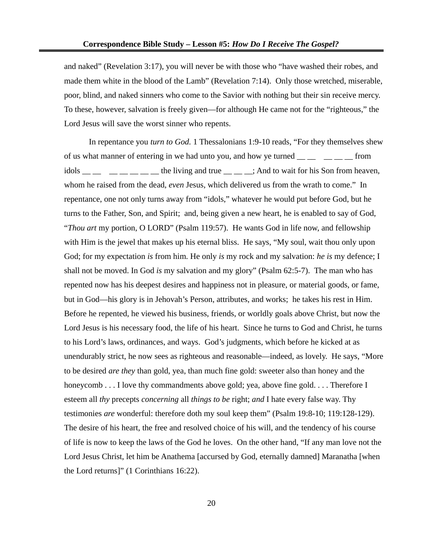and naked" (Revelation 3:17), you will never be with those who "have washed their robes, and made them white in the blood of the Lamb" (Revelation 7:14). Only those wretched, miserable, poor, blind, and naked sinners who come to the Savior with nothing but their sin receive mercy. To these, however, salvation is freely given—for although He came not for the "righteous," the Lord Jesus will save the worst sinner who repents.

In repentance you *turn to God.* 1 Thessalonians 1:9-10 reads, "For they themselves shew of us what manner of entering in we had unto you, and how ye turned from idols  $\Box$  \_\_ \_\_ \_\_ \_\_ \_\_ the living and true \_\_ \_\_ \_; And to wait for his Son from heaven, whom he raised from the dead, *even* Jesus, which delivered us from the wrath to come." In repentance, one not only turns away from "idols," whatever he would put before God, but he turns to the Father, Son, and Spirit; and, being given a new heart, he is enabled to say of God, "*Thou art* my portion, O LORD" (Psalm 119:57). He wants God in life now, and fellowship with Him is the jewel that makes up his eternal bliss. He says, "My soul, wait thou only upon God; for my expectation *is* from him. He only *is* my rock and my salvation: *he is* my defence; I shall not be moved. In God *is* my salvation and my glory" (Psalm 62:5-7). The man who has repented now has his deepest desires and happiness not in pleasure, or material goods, or fame, but in God—his glory is in Jehovah's Person, attributes, and works; he takes his rest in Him. Before he repented, he viewed his business, friends, or worldly goals above Christ, but now the Lord Jesus is his necessary food, the life of his heart. Since he turns to God and Christ, he turns to his Lord's laws, ordinances, and ways. God's judgments, which before he kicked at as unendurably strict, he now sees as righteous and reasonable—indeed, as lovely. He says, "More to be desired *are they* than gold, yea, than much fine gold: sweeter also than honey and the honeycomb . . . I love thy commandments above gold; yea, above fine gold. . . . Therefore I esteem all *thy* precepts *concerning* all *things to be* right; *and* I hate every false way. Thy testimonies *are* wonderful: therefore doth my soul keep them" (Psalm 19:8-10; 119:128-129). The desire of his heart, the free and resolved choice of his will, and the tendency of his course of life is now to keep the laws of the God he loves. On the other hand, "If any man love not the Lord Jesus Christ, let him be Anathema [accursed by God, eternally damned] Maranatha [when the Lord returns]" (1 Corinthians 16:22).

20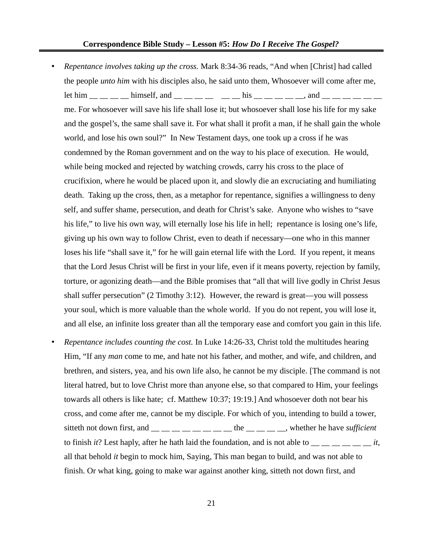- *Repentance involves taking up the cross.* Mark 8:34-36 reads, "And when [Christ] had called the people *unto him* with his disciples also, he said unto them, Whosoever will come after me, let him  $\_\_\_\_\_\_\_\$  himself, and  $\_\_\_\_\_\_\_\_\_\$  his  $\_\_\_\_\_\_\_\_\_$  and  $\_\_\_\_\_\_\_\_$ me. For whosoever will save his life shall lose it; but whosoever shall lose his life for my sake and the gospel's, the same shall save it. For what shall it profit a man, if he shall gain the whole world, and lose his own soul?" In New Testament days, one took up a cross if he was condemned by the Roman government and on the way to his place of execution. He would, while being mocked and rejected by watching crowds, carry his cross to the place of crucifixion, where he would be placed upon it, and slowly die an excruciating and humiliating death. Taking up the cross, then, as a metaphor for repentance, signifies a willingness to deny self, and suffer shame, persecution, and death for Christ's sake. Anyone who wishes to "save his life," to live his own way, will eternally lose his life in hell; repentance is losing one's life, giving up his own way to follow Christ, even to death if necessary—one who in this manner loses his life "shall save it," for he will gain eternal life with the Lord. If you repent, it means that the Lord Jesus Christ will be first in your life, even if it means poverty, rejection by family, torture, or agonizing death—and the Bible promises that "all that will live godly in Christ Jesus shall suffer persecution" (2 Timothy 3:12). However, the reward is great—you will possess your soul, which is more valuable than the whole world. If you do not repent, you will lose it, and all else, an infinite loss greater than all the temporary ease and comfort you gain in this life.
- *Repentance includes counting the cost.* In Luke 14:26-33, Christ told the multitudes hearing Him, "If any *man* come to me, and hate not his father, and mother, and wife, and children, and brethren, and sisters, yea, and his own life also, he cannot be my disciple. [The command is not literal hatred, but to love Christ more than anyone else, so that compared to Him, your feelings towards all others is like hate; cf. Matthew 10:37; 19:19.] And whosoever doth not bear his cross, and come after me, cannot be my disciple. For which of you, intending to build a tower, sitteth not down first, and  $\frac{1}{1}$  \_\_ \_\_ \_\_ \_\_ \_\_ \_\_ the \_\_ \_\_ \_\_ \_\_, whether he have *sufficient* to finish *it*? Lest haply, after he hath laid the foundation, and is not able to  $\frac{dt}{dt}$ , all that behold *it* begin to mock him, Saying, This man began to build, and was not able to finish. Or what king, going to make war against another king, sitteth not down first, and

21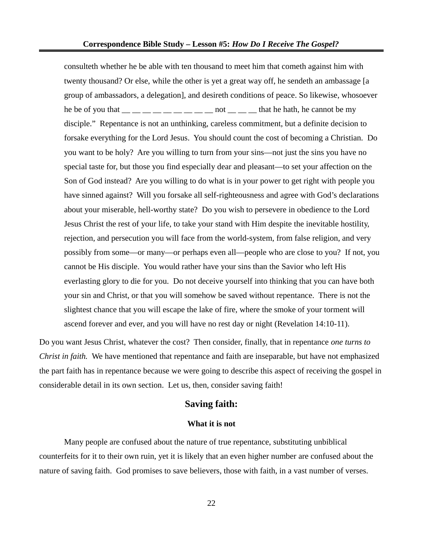consulteth whether he be able with ten thousand to meet him that cometh against him with twenty thousand? Or else, while the other is yet a great way off, he sendeth an ambassage [a group of ambassadors, a delegation], and desireth conditions of peace. So likewise, whosoever he be of you that  $\_\_\_\_\_\_\_\_\_\_\_\_\_\_\_\_\_$  not  $\_\_\_\_\_\_$  that he hath, he cannot be my disciple." Repentance is not an unthinking, careless commitment, but a definite decision to forsake everything for the Lord Jesus. You should count the cost of becoming a Christian. Do you want to be holy? Are you willing to turn from your sins—not just the sins you have no special taste for, but those you find especially dear and pleasant—to set your affection on the Son of God instead? Are you willing to do what is in your power to get right with people you have sinned against? Will you forsake all self-righteousness and agree with God's declarations about your miserable, hell-worthy state? Do you wish to persevere in obedience to the Lord Jesus Christ the rest of your life, to take your stand with Him despite the inevitable hostility, rejection, and persecution you will face from the world-system, from false religion, and very possibly from some—or many—or perhaps even all—people who are close to you? If not, you cannot be His disciple. You would rather have your sins than the Savior who left His everlasting glory to die for you. Do not deceive yourself into thinking that you can have both your sin and Christ, or that you will somehow be saved without repentance. There is not the slightest chance that you will escape the lake of fire, where the smoke of your torment will ascend forever and ever, and you will have no rest day or night (Revelation 14:10-11).

Do you want Jesus Christ, whatever the cost? Then consider, finally, that in repentance *one turns to Christ in faith.* We have mentioned that repentance and faith are inseparable, but have not emphasized the part faith has in repentance because we were going to describe this aspect of receiving the gospel in considerable detail in its own section. Let us, then, consider saving faith!

# **Saving faith:**

#### **What it is not**

Many people are confused about the nature of true repentance, substituting unbiblical counterfeits for it to their own ruin, yet it is likely that an even higher number are confused about the nature of saving faith. God promises to save believers, those with faith, in a vast number of verses.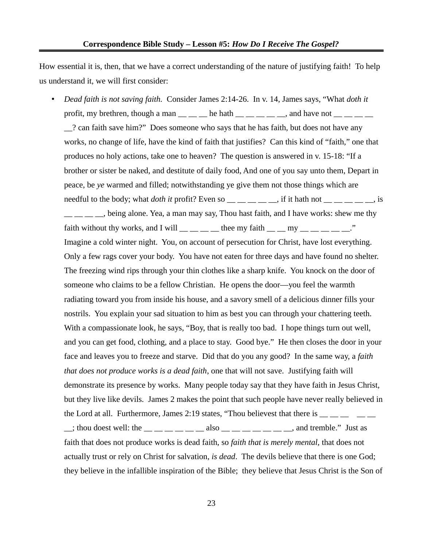How essential it is, then, that we have a correct understanding of the nature of justifying faith! To help us understand it, we will first consider:

• *Dead faith is not saving faith.* Consider James 2:14-26. In v. 14, James says, "What *doth it* profit, my brethren, though a man  $\_\_\_\_\_\_\$ he hath  $\_\_\_\_\_\_\_\_\$  and have not  $\_\_\_\_\_\_\_\_\_\$ \_\_? can faith save him?" Does someone who says that he has faith, but does not have any works, no change of life, have the kind of faith that justifies? Can this kind of "faith," one that produces no holy actions, take one to heaven? The question is answered in v. 15-18: "If a brother or sister be naked, and destitute of daily food, And one of you say unto them, Depart in peace, be *ye* warmed and filled; notwithstanding ye give them not those things which are needful to the body; what *doth it* profit? Even so \_\_ \_ \_ \_ \_ \_, if it hath not \_ \_ \_ \_ \_ \_, is

, being alone. Yea, a man may say, Thou hast faith, and I have works: shew me thy faith without thy works, and I will  $\_\_$   $\_\_$  thee my faith  $\_\_$   $\_\_$  my  $\_\_$   $\_\_$   $\_\_$   $\_$ ." Imagine a cold winter night. You, on account of persecution for Christ, have lost everything. Only a few rags cover your body. You have not eaten for three days and have found no shelter. The freezing wind rips through your thin clothes like a sharp knife. You knock on the door of someone who claims to be a fellow Christian. He opens the door—you feel the warmth radiating toward you from inside his house, and a savory smell of a delicious dinner fills your nostrils. You explain your sad situation to him as best you can through your chattering teeth. With a compassionate look, he says, "Boy, that is really too bad. I hope things turn out well, and you can get food, clothing, and a place to stay. Good bye." He then closes the door in your face and leaves you to freeze and starve. Did that do you any good? In the same way, a *faith that does not produce works is a dead faith*, one that will not save. Justifying faith will demonstrate its presence by works. Many people today say that they have faith in Jesus Christ, but they live like devils. James 2 makes the point that such people have never really believed in the Lord at all. Furthermore, James 2:19 states, "Thou believest that there is  $\frac{1}{\sqrt{2}}$  $\therefore$ ; thou doest well: the  $\qquad \qquad$   $\qquad \qquad$   $\qquad$   $\qquad$   $\qquad$   $\qquad$   $\qquad$  also  $\qquad \qquad$   $\qquad$   $\qquad$   $\qquad$   $\qquad$   $\qquad$   $\qquad$   $\qquad$   $\qquad$   $\qquad$   $\qquad$   $\qquad$   $\qquad$   $\qquad$   $\qquad$   $\qquad$   $\qquad$   $\qquad$   $\qquad$   $\qquad$   $\qquad$   $\qquad$   $\qquad$ faith that does not produce works is dead faith, so *faith that is merely mental,* that does not actually trust or rely on Christ for salvation, *is dead*. The devils believe that there is one God; they believe in the infallible inspiration of the Bible; they believe that Jesus Christ is the Son of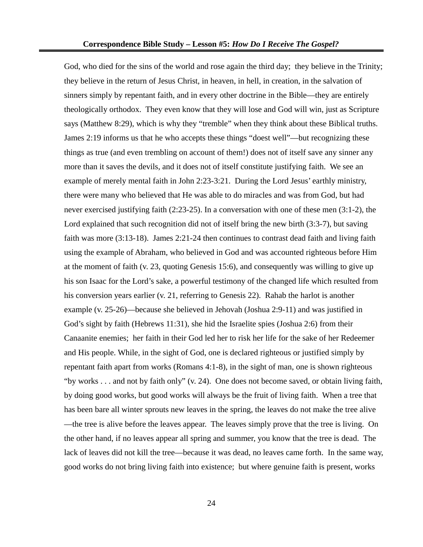God, who died for the sins of the world and rose again the third day; they believe in the Trinity; they believe in the return of Jesus Christ, in heaven, in hell, in creation, in the salvation of sinners simply by repentant faith, and in every other doctrine in the Bible—they are entirely theologically orthodox. They even know that they will lose and God will win, just as Scripture says (Matthew 8:29), which is why they "tremble" when they think about these Biblical truths. James 2:19 informs us that he who accepts these things "doest well"—but recognizing these things as true (and even trembling on account of them!) does not of itself save any sinner any more than it saves the devils, and it does not of itself constitute justifying faith. We see an example of merely mental faith in John 2:23-3:21. During the Lord Jesus' earthly ministry, there were many who believed that He was able to do miracles and was from God, but had never exercised justifying faith (2:23-25). In a conversation with one of these men (3:1-2), the Lord explained that such recognition did not of itself bring the new birth (3:3-7), but saving faith was more (3:13-18). James 2:21-24 then continues to contrast dead faith and living faith using the example of Abraham, who believed in God and was accounted righteous before Him at the moment of faith (v. 23, quoting Genesis 15:6), and consequently was willing to give up his son Isaac for the Lord's sake, a powerful testimony of the changed life which resulted from his conversion years earlier (v. 21, referring to Genesis 22). Rahab the harlot is another example (v. 25-26)—because she believed in Jehovah (Joshua 2:9-11) and was justified in God's sight by faith (Hebrews 11:31), she hid the Israelite spies (Joshua 2:6) from their Canaanite enemies; her faith in their God led her to risk her life for the sake of her Redeemer and His people. While, in the sight of God, one is declared righteous or justified simply by repentant faith apart from works (Romans 4:1-8), in the sight of man, one is shown righteous "by works . . . and not by faith only" (v. 24). One does not become saved, or obtain living faith, by doing good works, but good works will always be the fruit of living faith. When a tree that has been bare all winter sprouts new leaves in the spring, the leaves do not make the tree alive —the tree is alive before the leaves appear. The leaves simply prove that the tree is living. On the other hand, if no leaves appear all spring and summer, you know that the tree is dead. The lack of leaves did not kill the tree—because it was dead, no leaves came forth. In the same way, good works do not bring living faith into existence; but where genuine faith is present, works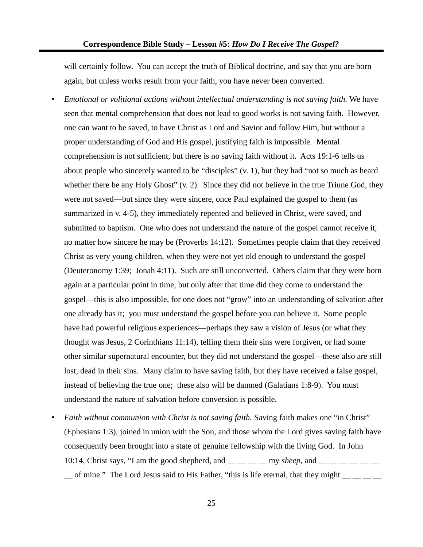will certainly follow. You can accept the truth of Biblical doctrine, and say that you are born again, but unless works result from your faith, you have never been converted.

- *Emotional or volitional actions without intellectual understanding is not saving faith.* We have seen that mental comprehension that does not lead to good works is not saving faith. However, one can want to be saved, to have Christ as Lord and Savior and follow Him, but without a proper understanding of God and His gospel, justifying faith is impossible. Mental comprehension is not sufficient, but there is no saving faith without it. Acts 19:1-6 tells us about people who sincerely wanted to be "disciples" (v. 1), but they had "not so much as heard whether there be any Holy Ghost" (v. 2). Since they did not believe in the true Triune God, they were not saved—but since they were sincere, once Paul explained the gospel to them (as summarized in v. 4-5), they immediately repented and believed in Christ, were saved, and submitted to baptism. One who does not understand the nature of the gospel cannot receive it, no matter how sincere he may be (Proverbs 14:12). Sometimes people claim that they received Christ as very young children, when they were not yet old enough to understand the gospel (Deuteronomy 1:39; Jonah 4:11). Such are still unconverted. Others claim that they were born again at a particular point in time, but only after that time did they come to understand the gospel—this is also impossible, for one does not "grow" into an understanding of salvation after one already has it; you must understand the gospel before you can believe it. Some people have had powerful religious experiences—perhaps they saw a vision of Jesus (or what they thought was Jesus, 2 Corinthians 11:14), telling them their sins were forgiven, or had some other similar supernatural encounter, but they did not understand the gospel—these also are still lost, dead in their sins. Many claim to have saving faith, but they have received a false gospel, instead of believing the true one; these also will be damned (Galatians 1:8-9). You must understand the nature of salvation before conversion is possible.
- *Faith without communion with Christ is not saving faith.* Saving faith makes one "in Christ" (Ephesians 1:3), joined in union with the Son, and those whom the Lord gives saving faith have consequently been brought into a state of genuine fellowship with the living God. In John 10:14, Christ says, "I am the good shepherd, and  $\qquad \qquad$  my *sheep*, and  $\Box$  of mine." The Lord Jesus said to His Father, "this is life eternal, that they might  $\Box$   $\Box$   $\Box$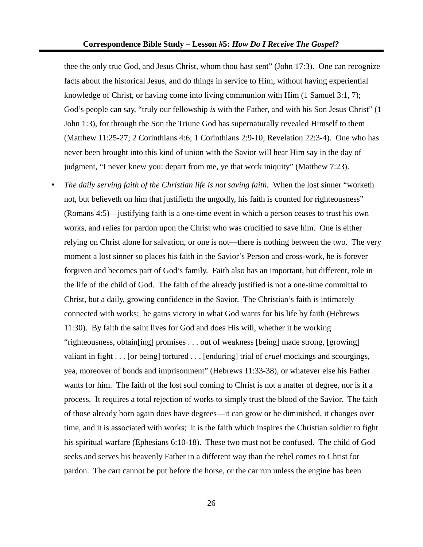thee the only true God, and Jesus Christ, whom thou hast sent" (John 17:3). One can recognize facts about the historical Jesus, and do things in service to Him, without having experiential knowledge of Christ, or having come into living communion with Him (1 Samuel 3:1, 7); God's people can say, "truly our fellowship *is* with the Father, and with his Son Jesus Christ" (1 John 1:3), for through the Son the Triune God has supernaturally revealed Himself to them (Matthew 11:25-27; 2 Corinthians 4:6; 1 Corinthians 2:9-10; Revelation 22:3-4). One who has never been brought into this kind of union with the Savior will hear Him say in the day of judgment, "I never knew you: depart from me, ye that work iniquity" (Matthew 7:23).

• *The daily serving faith of the Christian life is not saving faith.* When the lost sinner "worketh not, but believeth on him that justifieth the ungodly, his faith is counted for righteousness" (Romans 4:5)—justifying faith is a one-time event in which a person ceases to trust his own works, and relies for pardon upon the Christ who was crucified to save him. One is either relying on Christ alone for salvation, or one is not—there is nothing between the two. The very moment a lost sinner so places his faith in the Savior's Person and cross-work, he is forever forgiven and becomes part of God's family. Faith also has an important, but different, role in the life of the child of God. The faith of the already justified is not a one-time committal to Christ, but a daily, growing confidence in the Savior. The Christian's faith is intimately connected with works; he gains victory in what God wants for his life by faith (Hebrews 11:30). By faith the saint lives for God and does His will, whether it be working "righteousness, obtain[ing] promises . . . out of weakness [being] made strong, [growing] valiant in fight . . . [or being] tortured . . . [enduring] trial of *cruel* mockings and scourgings, yea, moreover of bonds and imprisonment" (Hebrews 11:33-38), or whatever else his Father wants for him. The faith of the lost soul coming to Christ is not a matter of degree, nor is it a process. It requires a total rejection of works to simply trust the blood of the Savior. The faith of those already born again does have degrees—it can grow or be diminished, it changes over time, and it is associated with works; it is the faith which inspires the Christian soldier to fight his spiritual warfare (Ephesians 6:10-18). These two must not be confused. The child of God seeks and serves his heavenly Father in a different way than the rebel comes to Christ for pardon. The cart cannot be put before the horse, or the car run unless the engine has been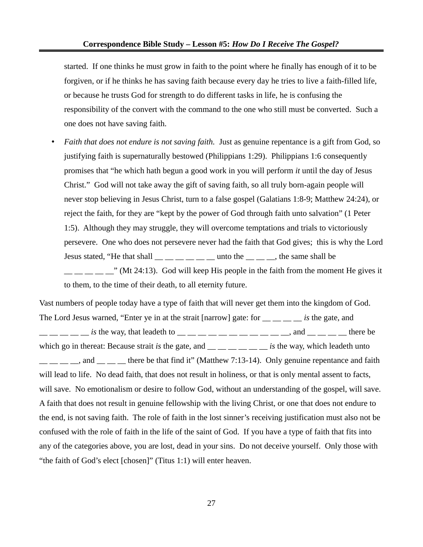started. If one thinks he must grow in faith to the point where he finally has enough of it to be forgiven, or if he thinks he has saving faith because every day he tries to live a faith-filled life, or because he trusts God for strength to do different tasks in life, he is confusing the responsibility of the convert with the command to the one who still must be converted. Such a one does not have saving faith.

• *Faith that does not endure is not saving faith.* Just as genuine repentance is a gift from God, so justifying faith is supernaturally bestowed (Philippians 1:29). Philippians 1:6 consequently promises that "he which hath begun a good work in you will perform *it* until the day of Jesus Christ." God will not take away the gift of saving faith, so all truly born-again people will never stop believing in Jesus Christ, turn to a false gospel (Galatians 1:8-9; Matthew 24:24), or reject the faith, for they are "kept by the power of God through faith unto salvation" (1 Peter 1:5). Although they may struggle, they will overcome temptations and trials to victoriously persevere. One who does not persevere never had the faith that God gives; this is why the Lord Jesus stated, "He that shall  $\_\_$   $\_\_$   $\_\_$   $\_\_$  unto the  $\_\_$   $\_\_$ , the same shall be  $\frac{1}{2}$   $\frac{1}{2}$   $\frac{1}{2}$  (Mt 24:13). God will keep His people in the faith from the moment He gives it

to them, to the time of their death, to all eternity future.

Vast numbers of people today have a type of faith that will never get them into the kingdom of God. The Lord Jesus warned, "Enter ye in at the strait [narrow] gate: for \_\_ \_\_ \_\_ \_\_ *is* the gate, and  $\_\_\_\_\_\_\_\_\_\_\_\_\_\_\_$  the way, that leadeth to  $\_\_\_\_\_\_\_\_\_\_\_\_\_\_\_\_\_$  and  $\_\_\_\_\_\_\_\_\_\_$  there be which go in thereat: Because strait *is* the gate, and \_\_ \_ \_ \_ \_ \_ *is* the way, which leadeth unto  $\frac{1}{1}$   $\frac{1}{1}$  and  $\frac{1}{1}$  there be that find it" (Matthew 7:13-14). Only genuine repentance and faith will lead to life. No dead faith, that does not result in holiness, or that is only mental assent to facts, will save. No emotionalism or desire to follow God, without an understanding of the gospel, will save. A faith that does not result in genuine fellowship with the living Christ, or one that does not endure to the end, is not saving faith. The role of faith in the lost sinner's receiving justification must also not be confused with the role of faith in the life of the saint of God. If you have a type of faith that fits into any of the categories above, you are lost, dead in your sins. Do not deceive yourself. Only those with "the faith of God's elect [chosen]" (Titus 1:1) will enter heaven.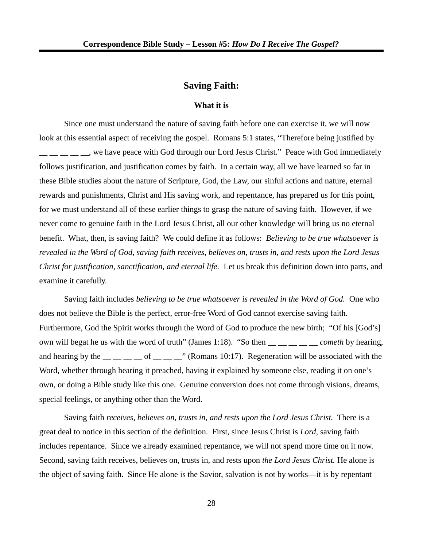# **Saving Faith:**

#### **What it is**

Since one must understand the nature of saving faith before one can exercise it, we will now look at this essential aspect of receiving the gospel. Romans 5:1 states, "Therefore being justified by , we have peace with God through our Lord Jesus Christ." Peace with God immediately follows justification, and justification comes by faith. In a certain way, all we have learned so far in these Bible studies about the nature of Scripture, God, the Law, our sinful actions and nature, eternal rewards and punishments, Christ and His saving work, and repentance, has prepared us for this point, for we must understand all of these earlier things to grasp the nature of saving faith. However, if we never come to genuine faith in the Lord Jesus Christ, all our other knowledge will bring us no eternal benefit. What, then, is saving faith? We could define it as follows: *Believing to be true whatsoever is revealed in the Word of God, saving faith receives, believes on, trusts in, and rests upon the Lord Jesus Christ for justification, sanctification, and eternal life.* Let us break this definition down into parts, and examine it carefully.

Saving faith includes *believing to be true whatsoever is revealed in the Word of God.* One who does not believe the Bible is the perfect, error-free Word of God cannot exercise saving faith. Furthermore, God the Spirit works through the Word of God to produce the new birth; "Of his [God's] own will begat he us with the word of truth" (James 1:18). "So then \_\_ \_\_ \_\_ \_\_ \_\_ *cometh* by hearing, and hearing by the  $\frac{m}{m}$   $\frac{m}{m}$  of  $\frac{m}{m}$   $\frac{m}{m}$  (Romans 10:17). Regeneration will be associated with the Word, whether through hearing it preached, having it explained by someone else, reading it on one's own, or doing a Bible study like this one. Genuine conversion does not come through visions, dreams, special feelings, or anything other than the Word.

Saving faith *receives, believes on, trusts in, and rests upon the Lord Jesus Christ.* There is a great deal to notice in this section of the definition. First, since Jesus Christ is *Lord,* saving faith includes repentance. Since we already examined repentance, we will not spend more time on it now. Second, saving faith receives, believes on, trusts in, and rests upon *the Lord Jesus Christ.* He alone is the object of saving faith. Since He alone is the Savior, salvation is not by works—it is by repentant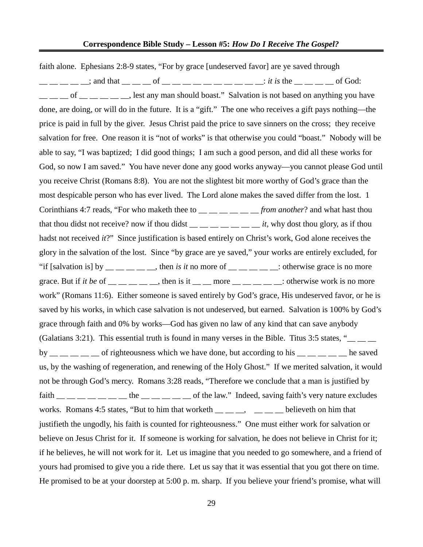faith alone. Ephesians 2:8-9 states, "For by grace [undeserved favor] are ye saved through  $\frac{1}{\sqrt{2}}$  and that  $\frac{1}{\sqrt{2}}$  of  $\frac{1}{\sqrt{2}}$  of  $\frac{1}{\sqrt{2}}$  of  $\frac{1}{\sqrt{2}}$  of God: of extensive position is not based on anything you have done, are doing, or will do in the future. It is a "gift." The one who receives a gift pays nothing—the price is paid in full by the giver. Jesus Christ paid the price to save sinners on the cross; they receive salvation for free. One reason it is "not of works" is that otherwise you could "boast." Nobody will be able to say, "I was baptized; I did good things; I am such a good person, and did all these works for God, so now I am saved." You have never done any good works anyway—you cannot please God until you receive Christ (Romans 8:8). You are not the slightest bit more worthy of God's grace than the most despicable person who has ever lived. The Lord alone makes the saved differ from the lost. 1 Corinthians 4:7 reads, "For who maketh thee to \_\_ \_ \_ \_ \_ \_ \_ *from another*? and what hast thou that thou didst not receive? now if thou didst  $\frac{1}{1-\frac{1}{1-\frac{1}{1-\frac{1}{1-\frac{1}{1-\frac{1}{1-\frac{1}{1-\frac{1}{1-\frac{1}{1-\frac{1}{1-\frac{1}{1-\frac{1}{1-\frac{1}{1-\frac{1}{1-\frac{1}{1-\frac{1}{1-\frac{1}{1-\frac{1}{1-\frac{1}{1-\frac{1}{1-\frac{1}{1-\frac{1}{1-\frac{1}{1-\frac{1}{1-\frac{1}{1-\frac{1}{1-\frac{1}{1-\frac{1}{1-\frac{1}{$ hadst not received *it*?" Since justification is based entirely on Christ's work, God alone receives the glory in the salvation of the lost. Since "by grace are ye saved," your works are entirely excluded, for "if [salvation is] by  $\_\_\_\_\_\_\_\_\_\_\$  then *is it* no more of  $\_\_\_\_\_\_\_\_\_\_\_\$ : otherwise grace is no more grace. But if *it be* of  $\_\_\_\_\_\_\_\$ , then is it  $\_\_\_\$ more  $\_\_\_\_\_\_\_\$ : otherwise work is no more work" (Romans 11:6). Either someone is saved entirely by God's grace, His undeserved favor, or he is saved by his works, in which case salvation is not undeserved, but earned. Salvation is 100% by God's grace through faith and 0% by works—God has given no law of any kind that can save anybody (Galatians 3:21). This essential truth is found in many verses in the Bible. Titus 3:5 states, "\_\_ \_\_ \_\_ by  $\mu =$   $\mu =$   $\mu$  of righteousness which we have done, but according to his  $\mu =$   $\mu =$   $\mu$  he saved us, by the washing of regeneration, and renewing of the Holy Ghost." If we merited salvation, it would not be through God's mercy. Romans 3:28 reads, "Therefore we conclude that a man is justified by faith  $\_\_\_\_\_\_\_\_\_\_\_\_\_\_\_$  the  $\_\_\_\_\_\_\_\_$  of the law." Indeed, saving faith's very nature excludes works. Romans 4:5 states, "But to him that worketh  $\_\_\_\_\_\_\_$   $\_\_\_\_\_$ believeth on him that justifieth the ungodly, his faith is counted for righteousness." One must either work for salvation or believe on Jesus Christ for it. If someone is working for salvation, he does not believe in Christ for it; if he believes, he will not work for it. Let us imagine that you needed to go somewhere, and a friend of yours had promised to give you a ride there. Let us say that it was essential that you got there on time. He promised to be at your doorstep at 5:00 p. m. sharp. If you believe your friend's promise, what will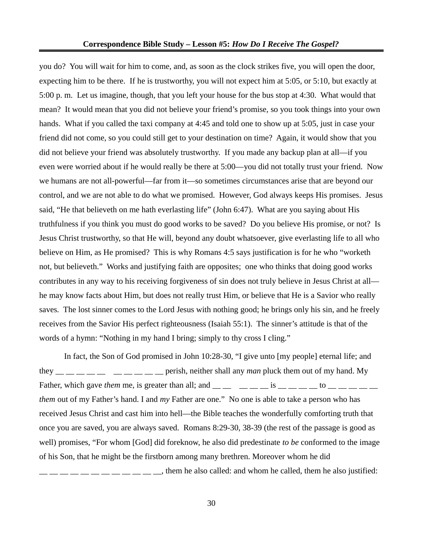you do? You will wait for him to come, and, as soon as the clock strikes five, you will open the door, expecting him to be there. If he is trustworthy, you will not expect him at 5:05, or 5:10, but exactly at 5:00 p. m. Let us imagine, though, that you left your house for the bus stop at 4:30. What would that mean? It would mean that you did not believe your friend's promise, so you took things into your own hands. What if you called the taxi company at 4:45 and told one to show up at 5:05, just in case your friend did not come, so you could still get to your destination on time? Again, it would show that you did not believe your friend was absolutely trustworthy. If you made any backup plan at all—if you even were worried about if he would really be there at 5:00—you did not totally trust your friend. Now we humans are not all-powerful—far from it—so sometimes circumstances arise that are beyond our control, and we are not able to do what we promised. However, God always keeps His promises. Jesus said, "He that believeth on me hath everlasting life" (John 6:47). What are you saying about His truthfulness if you think you must do good works to be saved? Do you believe His promise, or not? Is Jesus Christ trustworthy, so that He will, beyond any doubt whatsoever, give everlasting life to all who believe on Him, as He promised? This is why Romans 4:5 says justification is for he who "worketh not, but believeth." Works and justifying faith are opposites; one who thinks that doing good works contributes in any way to his receiving forgiveness of sin does not truly believe in Jesus Christ at all he may know facts about Him, but does not really trust Him, or believe that He is a Savior who really saves*.* The lost sinner comes to the Lord Jesus with nothing good; he brings only his sin, and he freely receives from the Savior His perfect righteousness (Isaiah 55:1). The sinner's attitude is that of the words of a hymn: "Nothing in my hand I bring; simply to thy cross I cling."

In fact, the Son of God promised in John 10:28-30, "I give unto [my people] eternal life; and they  $\frac{1}{1}$  \_\_ \_\_ \_\_ \_\_ \_\_ \_\_ \_\_ \_\_ perish, neither shall any *man* pluck them out of my hand. My Father, which gave *them* me, is greater than all; and  $\frac{1}{1}$   $\frac{1}{1}$   $\frac{1}{1}$   $\frac{1}{1}$   $\frac{1}{1}$   $\frac{1}{1}$   $\frac{1}{1}$   $\frac{1}{1}$   $\frac{1}{1}$   $\frac{1}{1}$   $\frac{1}{1}$   $\frac{1}{1}$   $\frac{1}{1}$   $\frac{1}{1}$   $\frac{1}{1}$   $\frac{1}{1}$   $\frac{1}{$ *them* out of my Father's hand. I and *my* Father are one." No one is able to take a person who has received Jesus Christ and cast him into hell—the Bible teaches the wonderfully comforting truth that once you are saved, you are always saved. Romans 8:29-30, 38-39 (the rest of the passage is good as well) promises, "For whom [God] did foreknow, he also did predestinate *to be* conformed to the image of his Son, that he might be the firstborn among many brethren. Moreover whom he did  $\frac{1}{1}$   $\frac{1}{1}$   $\frac{1}{1}$   $\frac{1}{1}$   $\frac{1}{1}$   $\frac{1}{1}$   $\frac{1}{1}$   $\frac{1}{1}$   $\frac{1}{1}$   $\frac{1}{1}$   $\frac{1}{1}$   $\frac{1}{1}$   $\frac{1}{1}$   $\frac{1}{1}$   $\frac{1}{1}$   $\frac{1}{1}$   $\frac{1}{1}$   $\frac{1}{1}$   $\frac{1}{1}$   $\frac{1}{1}$   $\frac{1}{1}$   $\frac{1}{1}$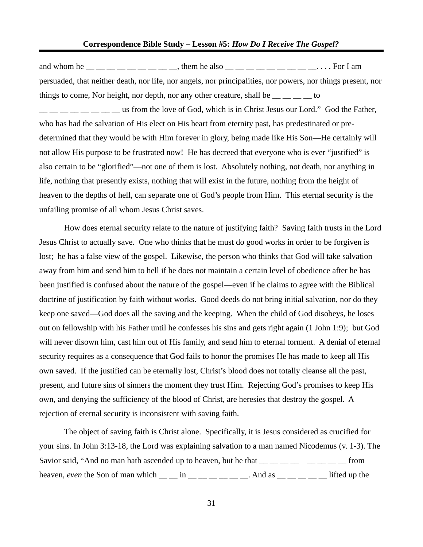#### **Correspondence Bible Study – Lesson #5:** *How Do I Receive The Gospel?*

and whom he  $\_\_$   $\_\_$   $\_\_$   $\_\_$   $\_\_$  them he also  $\_\_$   $\_\_$   $\_\_$   $\_\_$   $\_\_$   $\_\_$   $\_\_$   $\_\_$   $\_\_$   $\_\_$   $\_\_$ persuaded, that neither death, nor life, nor angels, nor principalities, nor powers, nor things present, nor things to come, Nor height, nor depth, nor any other creature, shall be  $\frac{1}{1}$  =  $\frac{1}{1}$  to  $\frac{1}{1}$   $\frac{1}{1}$   $\frac{1}{1}$   $\frac{1}{1}$   $\frac{1}{1}$   $\frac{1}{1}$  us from the love of God, which is in Christ Jesus our Lord." God the Father, who has had the salvation of His elect on His heart from eternity past, has predestinated or predetermined that they would be with Him forever in glory, being made like His Son—He certainly will not allow His purpose to be frustrated now! He has decreed that everyone who is ever "justified" is also certain to be "glorified"—not one of them is lost. Absolutely nothing, not death, nor anything in life, nothing that presently exists, nothing that will exist in the future, nothing from the height of heaven to the depths of hell, can separate one of God's people from Him. This eternal security is the unfailing promise of all whom Jesus Christ saves.

How does eternal security relate to the nature of justifying faith? Saving faith trusts in the Lord Jesus Christ to actually save. One who thinks that he must do good works in order to be forgiven is lost; he has a false view of the gospel. Likewise, the person who thinks that God will take salvation away from him and send him to hell if he does not maintain a certain level of obedience after he has been justified is confused about the nature of the gospel—even if he claims to agree with the Biblical doctrine of justification by faith without works. Good deeds do not bring initial salvation, nor do they keep one saved—God does all the saving and the keeping. When the child of God disobeys, he loses out on fellowship with his Father until he confesses his sins and gets right again (1 John 1:9); but God will never disown him, cast him out of His family, and send him to eternal torment. A denial of eternal security requires as a consequence that God fails to honor the promises He has made to keep all His own saved. If the justified can be eternally lost, Christ's blood does not totally cleanse all the past, present, and future sins of sinners the moment they trust Him. Rejecting God's promises to keep His own, and denying the sufficiency of the blood of Christ, are heresies that destroy the gospel. A rejection of eternal security is inconsistent with saving faith.

The object of saving faith is Christ alone. Specifically, it is Jesus considered as crucified for your sins. In John 3:13-18, the Lord was explaining salvation to a man named Nicodemus (v. 1-3). The Savior said, "And no man hath ascended up to heaven, but he that  $\frac{1}{1}$   $\frac{1}{1}$   $\frac{1}{1}$   $\frac{1}{1}$   $\frac{1}{1}$   $\frac{1}{1}$   $\frac{1}{1}$   $\frac{1}{1}$   $\frac{1}{1}$   $\frac{1}{1}$   $\frac{1}{1}$   $\frac{1}{1}$   $\frac{1}{1}$   $\frac{1}{1}$   $\frac{1}{1}$   $\frac{1}{$ heaven, *even* the Son of man which  $\_\_$  in  $\_\_$   $\_\_$   $\_\_$ . And as  $\_\_$   $\_\_$   $\_\_$  lifted up the

31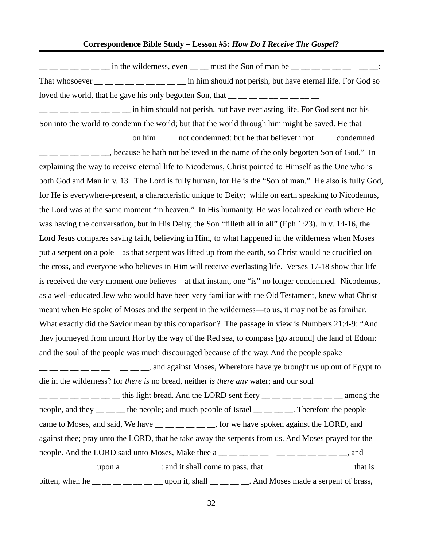$\frac{1}{1}$   $\frac{1}{1}$   $\frac{1}{1}$   $\frac{1}{1}$   $\frac{1}{1}$   $\frac{1}{1}$  in the wilderness, even  $\frac{1}{1}$   $\frac{1}{1}$  must the Son of man be  $\frac{1}{1}$   $\frac{1}{1}$   $\frac{1}{1}$   $\frac{1}{1}$   $\frac{1}{1}$   $\frac{1}{1}$   $\frac{1}{1}$   $\frac{1}{1}$ That whosoever  $\frac{1}{1-\frac{1}{1-\frac{1}{1-\frac{1}{1-\frac{1}{1-\frac{1}{1-\frac{1}{1-\frac{1}{1-\frac{1}{1-\frac{1}{1-\frac{1}{1-\frac{1}{1-\frac{1}{1-\frac{1}{1-\frac{1}{1-\frac{1}{1-\frac{1}{1-\frac{1}{1-\frac{1}{1-\frac{1}{1-\frac{1}{1-\frac{1}{1-\frac{1}{1-\frac{1}{1-\frac{1}{1-\frac{1}{1-\frac{1}{1-\frac{1}{1-\frac{1}{1-\frac{1}{1-\frac{1}{1-\frac{1}{1-\frac{1}{1-\frac{1}{1-\$ loved the world, that he gave his only begotten Son, that  $\frac{1}{\sqrt{2}}$   $\frac{1}{\sqrt{2}}$   $\frac{1}{\sqrt{2}}$   $\frac{1}{\sqrt{2}}$   $\frac{1}{\sqrt{2}}$  $\frac{1}{1}$   $\frac{1}{1}$   $\frac{1}{1}$   $\frac{1}{1}$   $\frac{1}{1}$   $\frac{1}{1}$  in him should not perish, but have everlasting life. For God sent not his Son into the world to condemn the world; but that the world through him might be saved. He that  $\frac{1}{1}$   $\frac{1}{1}$   $\frac{1}{1}$   $\frac{1}{1}$   $\frac{1}{1}$   $\frac{1}{1}$   $\frac{1}{1}$  on him  $\frac{1}{1}$   $\frac{1}{1}$  not condemned: but he that believeth not  $\frac{1}{1}$   $\frac{1}{1}$  condemned \_\_ \_\_ \_\_ \_\_ \_\_ \_\_ \_\_, because he hath not believed in the name of the only begotten Son of God." In explaining the way to receive eternal life to Nicodemus, Christ pointed to Himself as the One who is both God and Man in v. 13. The Lord is fully human, for He is the "Son of man." He also is fully God, for He is everywhere-present, a characteristic unique to Deity; while on earth speaking to Nicodemus, the Lord was at the same moment "in heaven." In His humanity, He was localized on earth where He was having the conversation, but in His Deity, the Son "filleth all in all" (Eph 1:23). In v. 14-16, the Lord Jesus compares saving faith, believing in Him, to what happened in the wilderness when Moses put a serpent on a pole—as that serpent was lifted up from the earth, so Christ would be crucified on the cross, and everyone who believes in Him will receive everlasting life. Verses 17-18 show that life is received the very moment one believes—at that instant, one "is" no longer condemned. Nicodemus, as a well-educated Jew who would have been very familiar with the Old Testament, knew what Christ meant when He spoke of Moses and the serpent in the wilderness—to us, it may not be as familiar. What exactly did the Savior mean by this comparison? The passage in view is Numbers 21:4-9: "And they journeyed from mount Hor by the way of the Red sea, to compass [go around] the land of Edom: and the soul of the people was much discouraged because of the way. And the people spake  $\frac{1}{1}$   $\frac{1}{1}$   $\frac{1}{1}$   $\frac{1}{1}$   $\frac{1}{1}$   $\frac{1}{1}$   $\frac{1}{1}$  and against Moses, Wherefore have ye brought us up out of Egypt to die in the wilderness? for *there is* no bread, neither *is there any* water; and our soul  $\frac{1}{1}$   $\frac{1}{1}$   $\frac{1}{1}$   $\frac{1}{1}$   $\frac{1}{1}$   $\frac{1}{1}$   $\frac{1}{1}$   $\frac{1}{1}$   $\frac{1}{1}$   $\frac{1}{1}$   $\frac{1}{1}$   $\frac{1}{1}$   $\frac{1}{1}$   $\frac{1}{1}$   $\frac{1}{1}$   $\frac{1}{1}$   $\frac{1}{1}$   $\frac{1}{1}$   $\frac{1}{1}$   $\frac{1}{1}$   $\frac{1}{1}$   $\frac{1}{1}$ 

people, and they  $\equiv$   $\equiv$   $\equiv$  the people; and much people of Israel  $\equiv$   $\equiv$   $\equiv$   $\equiv$   $\equiv$   $\equiv$  Therefore the people came to Moses, and said, We have  $\frac{m}{m}$   $\frac{m}{m}$   $\frac{m}{m}$  for we have spoken against the LORD, and against thee; pray unto the LORD, that he take away the serpents from us. And Moses prayed for the people. And the LORD said unto Moses, Make thee a  $\underline{\hspace{1cm}}\underline{\hspace{1cm}}\underline{\hspace{1cm}}\underline{\hspace{1cm}}\underline{\hspace{1cm}}\underline{\hspace{1cm}}\underline{\hspace{1cm}}\underline{\hspace{1cm}}\underline{\hspace{1cm}}\underline{\hspace{1cm}}\underline{\hspace{1cm}}\underline{\hspace{1cm}}\underline{\hspace{1cm}}\underline{\hspace{1cm}}\underline{\hspace{1cm}}\underline{\hspace{1cm}}\underline{\hspace{1cm}}\underline{\hspace{1cm}}\underline{\hspace{1$  $\overline{a_1}$   $\overline{a_2}$   $\overline{a_3}$   $\overline{a_4}$   $\overline{a_5}$   $\overline{a_6}$   $\overline{a_7}$   $\overline{a_8}$  and it shall come to pass, that  $\overline{a_1}$   $\overline{a_2}$   $\overline{a_3}$   $\overline{a_4}$   $\overline{a_5}$   $\overline{a_6}$   $\overline{a_7}$   $\overline{a_8}$   $\overline{a_9}$   $\$ bitten, when he  $\frac{1}{1}$  \_\_ \_ \_ \_ \_ \_ \_ upon it, shall \_ \_ \_ \_ \_ \_ . And Moses made a serpent of brass,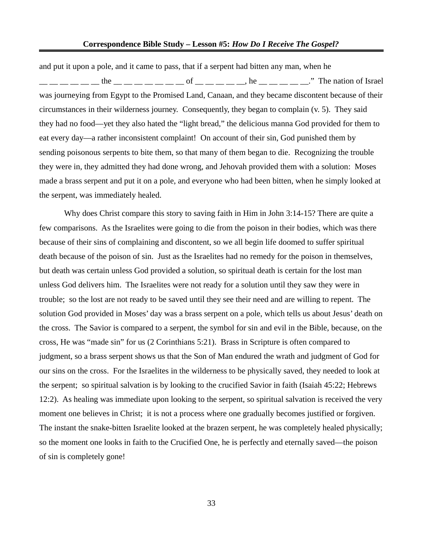and put it upon a pole, and it came to pass, that if a serpent had bitten any man, when he  $\_\_$   $\_\_$  The nation of Israel was journeying from Egypt to the Promised Land, Canaan, and they became discontent because of their circumstances in their wilderness journey. Consequently, they began to complain (v. 5). They said they had no food—yet they also hated the "light bread," the delicious manna God provided for them to eat every day—a rather inconsistent complaint! On account of their sin, God punished them by sending poisonous serpents to bite them, so that many of them began to die. Recognizing the trouble they were in, they admitted they had done wrong, and Jehovah provided them with a solution: Moses made a brass serpent and put it on a pole, and everyone who had been bitten, when he simply looked at the serpent, was immediately healed.

Why does Christ compare this story to saving faith in Him in John 3:14-15? There are quite a few comparisons. As the Israelites were going to die from the poison in their bodies, which was there because of their sins of complaining and discontent, so we all begin life doomed to suffer spiritual death because of the poison of sin. Just as the Israelites had no remedy for the poison in themselves, but death was certain unless God provided a solution, so spiritual death is certain for the lost man unless God delivers him. The Israelites were not ready for a solution until they saw they were in trouble; so the lost are not ready to be saved until they see their need and are willing to repent. The solution God provided in Moses' day was a brass serpent on a pole, which tells us about Jesus' death on the cross. The Savior is compared to a serpent, the symbol for sin and evil in the Bible, because, on the cross, He was "made sin" for us (2 Corinthians 5:21). Brass in Scripture is often compared to judgment, so a brass serpent shows us that the Son of Man endured the wrath and judgment of God for our sins on the cross. For the Israelites in the wilderness to be physically saved, they needed to look at the serpent; so spiritual salvation is by looking to the crucified Savior in faith (Isaiah 45:22; Hebrews 12:2). As healing was immediate upon looking to the serpent, so spiritual salvation is received the very moment one believes in Christ; it is not a process where one gradually becomes justified or forgiven. The instant the snake-bitten Israelite looked at the brazen serpent, he was completely healed physically; so the moment one looks in faith to the Crucified One, he is perfectly and eternally saved—the poison of sin is completely gone!

33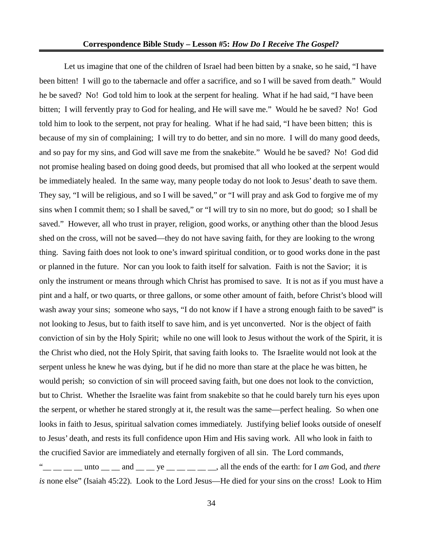Let us imagine that one of the children of Israel had been bitten by a snake, so he said, "I have been bitten! I will go to the tabernacle and offer a sacrifice, and so I will be saved from death." Would he be saved? No! God told him to look at the serpent for healing. What if he had said, "I have been bitten; I will fervently pray to God for healing, and He will save me." Would he be saved? No! God told him to look to the serpent, not pray for healing. What if he had said, "I have been bitten; this is because of my sin of complaining; I will try to do better, and sin no more. I will do many good deeds, and so pay for my sins, and God will save me from the snakebite." Would he be saved? No! God did not promise healing based on doing good deeds, but promised that all who looked at the serpent would be immediately healed. In the same way, many people today do not look to Jesus' death to save them. They say, "I will be religious, and so I will be saved," or "I will pray and ask God to forgive me of my sins when I commit them; so I shall be saved," or "I will try to sin no more, but do good; so I shall be saved." However, all who trust in prayer, religion, good works, or anything other than the blood Jesus shed on the cross, will not be saved—they do not have saving faith, for they are looking to the wrong thing. Saving faith does not look to one's inward spiritual condition, or to good works done in the past or planned in the future. Nor can you look to faith itself for salvation. Faith is not the Savior; it is only the instrument or means through which Christ has promised to save. It is not as if you must have a pint and a half, or two quarts, or three gallons, or some other amount of faith, before Christ's blood will wash away your sins; someone who says, "I do not know if I have a strong enough faith to be saved" is not looking to Jesus, but to faith itself to save him, and is yet unconverted. Nor is the object of faith conviction of sin by the Holy Spirit; while no one will look to Jesus without the work of the Spirit, it is the Christ who died, not the Holy Spirit, that saving faith looks to. The Israelite would not look at the serpent unless he knew he was dying, but if he did no more than stare at the place he was bitten, he would perish; so conviction of sin will proceed saving faith, but one does not look to the conviction, but to Christ. Whether the Israelite was faint from snakebite so that he could barely turn his eyes upon the serpent, or whether he stared strongly at it, the result was the same—perfect healing. So when one looks in faith to Jesus, spiritual salvation comes immediately. Justifying belief looks outside of oneself to Jesus' death, and rests its full confidence upon Him and His saving work. All who look in faith to the crucified Savior are immediately and eternally forgiven of all sin. The Lord commands,  $\frac{m}{2}$  \_\_ \_\_ \_\_ unto \_\_ \_\_ and \_\_ \_\_ ye \_\_ \_\_ \_\_ \_\_ \_\_, all the ends of the earth: for I *am* God, and *there is* none else" (Isaiah 45:22). Look to the Lord Jesus—He died for your sins on the cross! Look to Him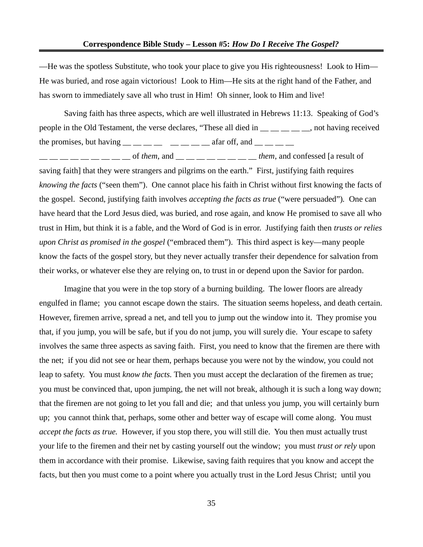—He was the spotless Substitute, who took your place to give you His righteousness! Look to Him— He was buried, and rose again victorious! Look to Him—He sits at the right hand of the Father, and has sworn to immediately save all who trust in Him! Oh sinner, look to Him and live!

Saving faith has three aspects, which are well illustrated in Hebrews 11:13. Speaking of God's people in the Old Testament, the verse declares, "These all died in  $\_\_\_\_\_\_$  foot having received the promises, but having  $\frac{m}{m}$   $\frac{m}{m}$   $\frac{m}{m}$   $\frac{m}{m}$   $\frac{m}{m}$  afar off, and  $\frac{m}{m}$   $\frac{m}{m}$ 

 $\frac{1}{2}$  \_\_ \_\_ \_\_ \_\_ \_\_ of *them*, and \_\_ \_\_ \_\_ \_\_ \_\_ \_\_ \_\_ them, and confessed [a result of saving faith] that they were strangers and pilgrims on the earth." First, justifying faith requires *knowing the facts* ("seen them"). One cannot place his faith in Christ without first knowing the facts of the gospel. Second, justifying faith involves *accepting the facts as true* ("were persuaded")*.* One can have heard that the Lord Jesus died, was buried, and rose again, and know He promised to save all who trust in Him, but think it is a fable, and the Word of God is in error. Justifying faith then *trusts or relies upon Christ as promised in the gospel* ("embraced them"). This third aspect is key—many people know the facts of the gospel story, but they never actually transfer their dependence for salvation from their works, or whatever else they are relying on, to trust in or depend upon the Savior for pardon.

Imagine that you were in the top story of a burning building. The lower floors are already engulfed in flame; you cannot escape down the stairs. The situation seems hopeless, and death certain. However, firemen arrive, spread a net, and tell you to jump out the window into it. They promise you that, if you jump, you will be safe, but if you do not jump, you will surely die. Your escape to safety involves the same three aspects as saving faith. First, you need to know that the firemen are there with the net; if you did not see or hear them, perhaps because you were not by the window, you could not leap to safety. You must *know the facts.* Then you must accept the declaration of the firemen as true; you must be convinced that, upon jumping, the net will not break, although it is such a long way down; that the firemen are not going to let you fall and die; and that unless you jump, you will certainly burn up; you cannot think that, perhaps, some other and better way of escape will come along. You must *accept the facts as true.* However, if you stop there, you will still die. You then must actually trust your life to the firemen and their net by casting yourself out the window; you must *trust or rely* upon them in accordance with their promise. Likewise, saving faith requires that you know and accept the facts, but then you must come to a point where you actually trust in the Lord Jesus Christ; until you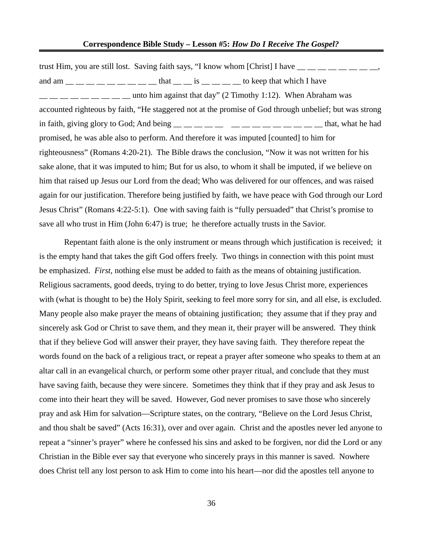trust Him, you are still lost. Saving faith says, "I know whom [Christ] I have  $\frac{1}{1}$  =  $\frac{1}{1}$  =  $\frac{1}{1}$  =  $\frac{1}{1}$ and am  $\frac{1}{\sqrt{2}}$   $\frac{1}{\sqrt{2}}$   $\frac{1}{\sqrt{2}}$   $\frac{1}{\sqrt{2}}$  to keep that which I have unto him against that day" (2 Timothy 1:12). When Abraham was accounted righteous by faith, "He staggered not at the promise of God through unbelief; but was strong in faith, giving glory to God; And being  $\frac{m}{m}$   $\frac{m}{m}$   $\frac{m}{m}$   $\frac{m}{m}$   $\frac{m}{m}$   $\frac{m}{m}$   $\frac{m}{m}$   $\frac{m}{m}$  that, what he had promised, he was able also to perform. And therefore it was imputed [counted] to him for righteousness" (Romans 4:20-21). The Bible draws the conclusion, "Now it was not written for his sake alone, that it was imputed to him; But for us also, to whom it shall be imputed, if we believe on him that raised up Jesus our Lord from the dead; Who was delivered for our offences, and was raised again for our justification. Therefore being justified by faith, we have peace with God through our Lord Jesus Christ" (Romans 4:22-5:1). One with saving faith is "fully persuaded" that Christ's promise to save all who trust in Him (John 6:47) is true; he therefore actually trusts in the Savior.

Repentant faith alone is the only instrument or means through which justification is received; it is the empty hand that takes the gift God offers freely. Two things in connection with this point must be emphasized. *First,* nothing else must be added to faith as the means of obtaining justification. Religious sacraments, good deeds, trying to do better, trying to love Jesus Christ more, experiences with (what is thought to be) the Holy Spirit, seeking to feel more sorry for sin, and all else, is excluded. Many people also make prayer the means of obtaining justification; they assume that if they pray and sincerely ask God or Christ to save them, and they mean it, their prayer will be answered. They think that if they believe God will answer their prayer, they have saving faith. They therefore repeat the words found on the back of a religious tract, or repeat a prayer after someone who speaks to them at an altar call in an evangelical church, or perform some other prayer ritual, and conclude that they must have saving faith, because they were sincere. Sometimes they think that if they pray and ask Jesus to come into their heart they will be saved. However, God never promises to save those who sincerely pray and ask Him for salvation—Scripture states, on the contrary, "Believe on the Lord Jesus Christ, and thou shalt be saved" (Acts 16:31), over and over again. Christ and the apostles never led anyone to repeat a "sinner's prayer" where he confessed his sins and asked to be forgiven, nor did the Lord or any Christian in the Bible ever say that everyone who sincerely prays in this manner is saved. Nowhere does Christ tell any lost person to ask Him to come into his heart—nor did the apostles tell anyone to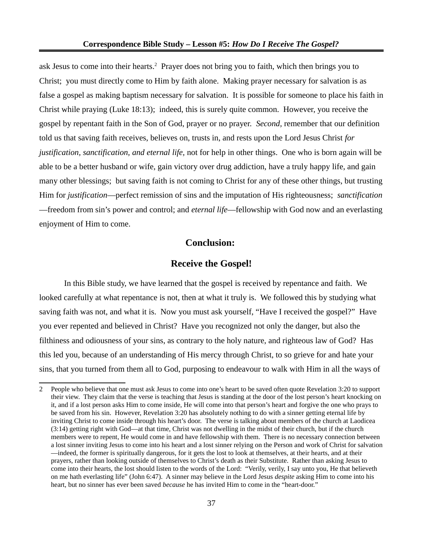ask Jesus to come into their hearts.<sup>[2](#page-36-0)</sup> Prayer does not bring you to faith, which then brings you to Christ; you must directly come to Him by faith alone. Making prayer necessary for salvation is as false a gospel as making baptism necessary for salvation. It is possible for someone to place his faith in Christ while praying (Luke 18:13); indeed, this is surely quite common. However, you receive the gospel by repentant faith in the Son of God, prayer or no prayer. *Second,* remember that our definition told us that saving faith receives, believes on, trusts in, and rests upon the Lord Jesus Christ *for justification, sanctification, and eternal life,* not for help in other things. One who is born again will be able to be a better husband or wife, gain victory over drug addiction, have a truly happy life, and gain many other blessings; but saving faith is not coming to Christ for any of these other things, but trusting Him for *justification*—perfect remission of sins and the imputation of His righteousness; *sanctification* —freedom from sin's power and control; and *eternal life*—fellowship with God now and an everlasting enjoyment of Him to come.

# **Conclusion:**

### **Receive the Gospel!**

In this Bible study, we have learned that the gospel is received by repentance and faith. We looked carefully at what repentance is not, then at what it truly is. We followed this by studying what saving faith was not, and what it is. Now you must ask yourself, "Have I received the gospel?" Have you ever repented and believed in Christ? Have you recognized not only the danger, but also the filthiness and odiousness of your sins, as contrary to the holy nature, and righteous law of God? Has this led you, because of an understanding of His mercy through Christ, to so grieve for and hate your sins, that you turned from them all to God, purposing to endeavour to walk with Him in all the ways of

<span id="page-36-0"></span><sup>2</sup> People who believe that one must ask Jesus to come into one's heart to be saved often quote Revelation 3:20 to support their view. They claim that the verse is teaching that Jesus is standing at the door of the lost person's heart knocking on it, and if a lost person asks Him to come inside, He will come into that person's heart and forgive the one who prays to be saved from his sin. However, Revelation 3:20 has absolutely nothing to do with a sinner getting eternal life by inviting Christ to come inside through his heart's door. The verse is talking about members of the church at Laodicea (3:14) getting right with God—at that time, Christ was not dwelling in the midst of their church, but if the church members were to repent, He would come in and have fellowship with them. There is no necessary connection between a lost sinner inviting Jesus to come into his heart and a lost sinner relying on the Person and work of Christ for salvation —indeed, the former is spiritually dangerous, for it gets the lost to look at themselves, at their hearts, and at their prayers, rather than looking outside of themselves to Christ's death as their Substitute. Rather than asking Jesus to come into their hearts, the lost should listen to the words of the Lord: "Verily, verily, I say unto you, He that believeth on me hath everlasting life" (John 6:47). A sinner may believe in the Lord Jesus *despite* asking Him to come into his heart, but no sinner has ever been saved *because* he has invited Him to come in the "heart-door."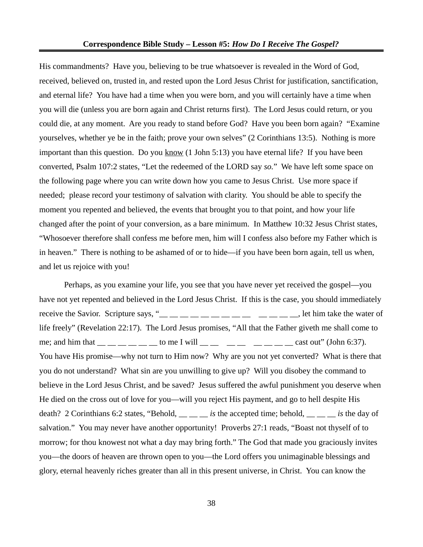His commandments? Have you, believing to be true whatsoever is revealed in the Word of God, received, believed on, trusted in, and rested upon the Lord Jesus Christ for justification, sanctification, and eternal life? You have had a time when you were born, and you will certainly have a time when you will die (unless you are born again and Christ returns first). The Lord Jesus could return, or you could die, at any moment. Are you ready to stand before God? Have you been born again? "Examine yourselves, whether ye be in the faith; prove your own selves" (2 Corinthians 13:5). Nothing is more important than this question. Do you know (1 John 5:13) you have eternal life? If you have been converted, Psalm 107:2 states, "Let the redeemed of the LORD say *so.*" We have left some space on the following page where you can write down how you came to Jesus Christ. Use more space if needed; please record your testimony of salvation with clarity. You should be able to specify the moment you repented and believed, the events that brought you to that point, and how your life changed after the point of your conversion, as a bare minimum. In Matthew 10:32 Jesus Christ states, "Whosoever therefore shall confess me before men, him will I confess also before my Father which is in heaven." There is nothing to be ashamed of or to hide—if you have been born again, tell us when, and let us rejoice with you!

Perhaps, as you examine your life, you see that you have never yet received the gospel—you have not yet repented and believed in the Lord Jesus Christ. If this is the case, you should immediately receive the Savior. Scripture says, " $\frac{m}{m}$   $\frac{m}{m}$   $\frac{m}{m}$   $\frac{m}{m}$   $\frac{m}{m}$   $\frac{m}{m}$   $\frac{m}{m}$   $\frac{m}{m}$   $\frac{m}{m}$  let him take the water of life freely" (Revelation 22:17). The Lord Jesus promises, "All that the Father giveth me shall come to me; and him that  $\frac{1}{1-\frac{1}{1-\frac{1}{1-\frac{1}{1-\frac{1}{1-\frac{1}{1-\frac{1}{1-\frac{1}{1-\frac{1}{1-\frac{1}{1-\frac{1}{1-\frac{1}{1-\frac{1}{1-\frac{1}{1-\frac{1}{1-\frac{1}{1-\frac{1}{1-\frac{1}{1-\frac{1}{1-\frac{1}{1-\frac{1}{1-\frac{1}{1-\frac{1}{1-\frac{1}{1-\frac{1}{1-\frac{1}{1-\frac{1}{1-\frac{1}{1-\frac{1}{1-\frac{1}{1-\frac{1}{1-\frac{1}{1-\frac{1}{1-\frac{1}{$ You have His promise—why not turn to Him now? Why are you not yet converted? What is there that you do not understand? What sin are you unwilling to give up? Will you disobey the command to believe in the Lord Jesus Christ, and be saved? Jesus suffered the awful punishment you deserve when He died on the cross out of love for you—will you reject His payment, and go to hell despite His death? 2 Corinthians 6:2 states, "Behold, \_\_ \_\_ *is* the accepted time; behold, \_\_ \_ \_ *is* the day of salvation." You may never have another opportunity! Proverbs 27:1 reads, "Boast not thyself of to morrow; for thou knowest not what a day may bring forth." The God that made you graciously invites you—the doors of heaven are thrown open to you—the Lord offers you unimaginable blessings and glory, eternal heavenly riches greater than all in this present universe, in Christ. You can know the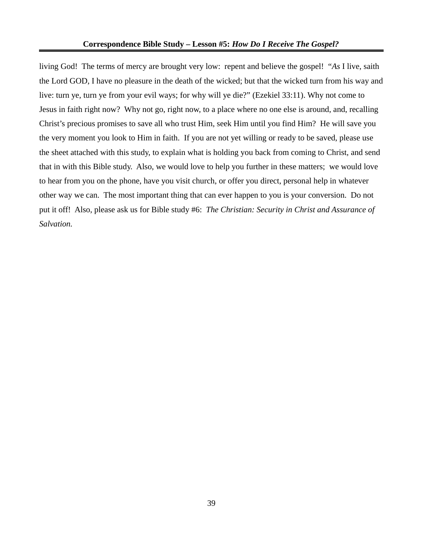living God! The terms of mercy are brought very low: repent and believe the gospel! "*As* I live, saith the Lord GOD, I have no pleasure in the death of the wicked; but that the wicked turn from his way and live: turn ye, turn ye from your evil ways; for why will ye die?" (Ezekiel 33:11). Why not come to Jesus in faith right now? Why not go, right now, to a place where no one else is around, and, recalling Christ's precious promises to save all who trust Him, seek Him until you find Him? He will save you the very moment you look to Him in faith. If you are not yet willing or ready to be saved, please use the sheet attached with this study, to explain what is holding you back from coming to Christ, and send that in with this Bible study. Also, we would love to help you further in these matters; we would love to hear from you on the phone, have you visit church, or offer you direct, personal help in whatever other way we can. The most important thing that can ever happen to you is your conversion. Do not put it off! Also, please ask us for Bible study #6: *The Christian: Security in Christ and Assurance of Salvation.*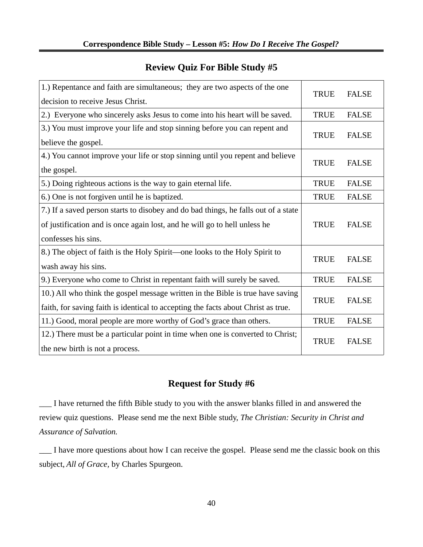| 1.) Repentance and faith are simultaneous; they are two aspects of the one         | <b>TRUE</b> | <b>FALSE</b> |
|------------------------------------------------------------------------------------|-------------|--------------|
| decision to receive Jesus Christ.                                                  |             |              |
| 2.) Everyone who sincerely asks Jesus to come into his heart will be saved.        | <b>TRUE</b> | <b>FALSE</b> |
| 3.) You must improve your life and stop sinning before you can repent and          | <b>TRUE</b> | <b>FALSE</b> |
| believe the gospel.                                                                |             |              |
| 4.) You cannot improve your life or stop sinning until you repent and believe      | <b>TRUE</b> | <b>FALSE</b> |
| the gospel.                                                                        |             |              |
| 5.) Doing righteous actions is the way to gain eternal life.                       | <b>TRUE</b> | <b>FALSE</b> |
| 6.) One is not forgiven until he is baptized.                                      | <b>TRUE</b> | <b>FALSE</b> |
| 7.) If a saved person starts to disobey and do bad things, he falls out of a state |             |              |
| of justification and is once again lost, and he will go to hell unless he          | <b>TRUE</b> | <b>FALSE</b> |
| confesses his sins.                                                                |             |              |
| 8.) The object of faith is the Holy Spirit-one looks to the Holy Spirit to         | <b>TRUE</b> | <b>FALSE</b> |
| wash away his sins.                                                                |             |              |
| 9.) Everyone who come to Christ in repentant faith will surely be saved.           | <b>TRUE</b> | <b>FALSE</b> |
| 10.) All who think the gospel message written in the Bible is true have saving     | <b>TRUE</b> | <b>FALSE</b> |
| faith, for saving faith is identical to accepting the facts about Christ as true.  |             |              |
| 11.) Good, moral people are more worthy of God's grace than others.                | <b>TRUE</b> | <b>FALSE</b> |
| 12.) There must be a particular point in time when one is converted to Christ;     | <b>TRUE</b> | <b>FALSE</b> |
| the new birth is not a process.                                                    |             |              |

# **Review Quiz For Bible Study #5**

# **Request for Study #6**

\_\_\_ I have returned the fifth Bible study to you with the answer blanks filled in and answered the review quiz questions. Please send me the next Bible study, *The Christian: Security in Christ and Assurance of Salvation.*

\_\_\_ I have more questions about how I can receive the gospel. Please send me the classic book on this subject, *All of Grace,* by Charles Spurgeon.